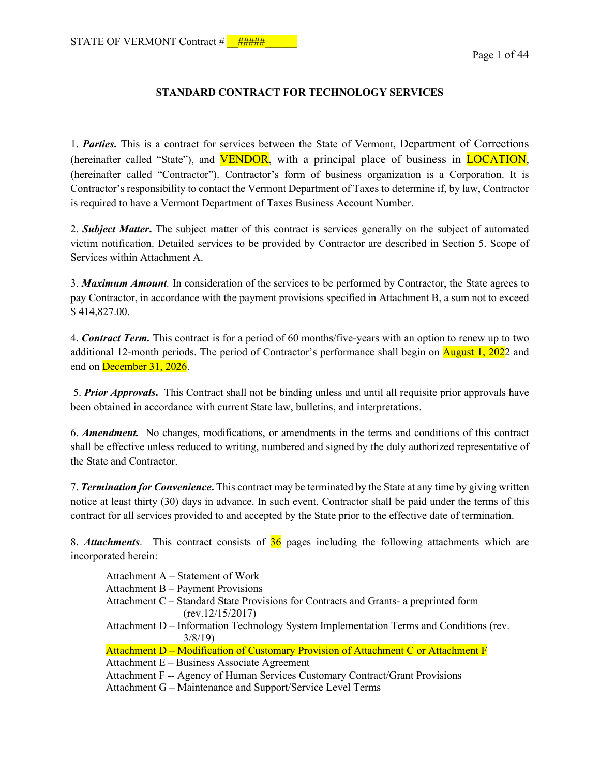#### **STANDARD CONTRACT FOR TECHNOLOGY SERVICES**

1. *Parties***.** This is a contract for services between the State of Vermont, Department of Corrections (hereinafter called "State"), and VENDOR, with a principal place of business in LOCATION, (hereinafter called "Contractor"). Contractor's form of business organization is a Corporation. It is Contractor's responsibility to contact the Vermont Department of Taxes to determine if, by law, Contractor is required to have a Vermont Department of Taxes Business Account Number.

2. *Subject Matter***.** The subject matter of this contract is services generally on the subject of automated victim notification. Detailed services to be provided by Contractor are described in Section 5. Scope of Services within Attachment A.

3. *Maximum Amount.* In consideration of the services to be performed by Contractor, the State agrees to pay Contractor, in accordance with the payment provisions specified in Attachment B, a sum not to exceed \$ 414,827.00.

4. *Contract Term.* This contract is for a period of 60 months/five-years with an option to renew up to two additional 12-month periods. The period of Contractor's performance shall begin on August 1, 2022 and end on December 31, 2026.

 5. *Prior Approvals***.** This Contract shall not be binding unless and until all requisite prior approvals have been obtained in accordance with current State law, bulletins, and interpretations.

6. *Amendment.* No changes, modifications, or amendments in the terms and conditions of this contract shall be effective unless reduced to writing, numbered and signed by the duly authorized representative of the State and Contractor.

7. *Termination for Convenience***.** This contract may be terminated by the State at any time by giving written notice at least thirty (30) days in advance. In such event, Contractor shall be paid under the terms of this contract for all services provided to and accepted by the State prior to the effective date of termination.

8. *Attachments*. This contract consists of 36 pages including the following attachments which are incorporated herein:

| Attachment A – Statement of Work                                                       |  |
|----------------------------------------------------------------------------------------|--|
| Attachment B – Payment Provisions                                                      |  |
| Attachment C – Standard State Provisions for Contracts and Grants- a preprinted form   |  |
| (rev.12/15/2017)                                                                       |  |
| Attachment D – Information Technology System Implementation Terms and Conditions (rev. |  |
| 3/8/19                                                                                 |  |
| Attachment D – Modification of Customary Provision of Attachment C or Attachment F     |  |
| Attachment E – Business Associate Agreement                                            |  |
| Attachment F -- Agency of Human Services Customary Contract/Grant Provisions           |  |
| Attachment G – Maintenance and Support/Service Level Terms                             |  |
|                                                                                        |  |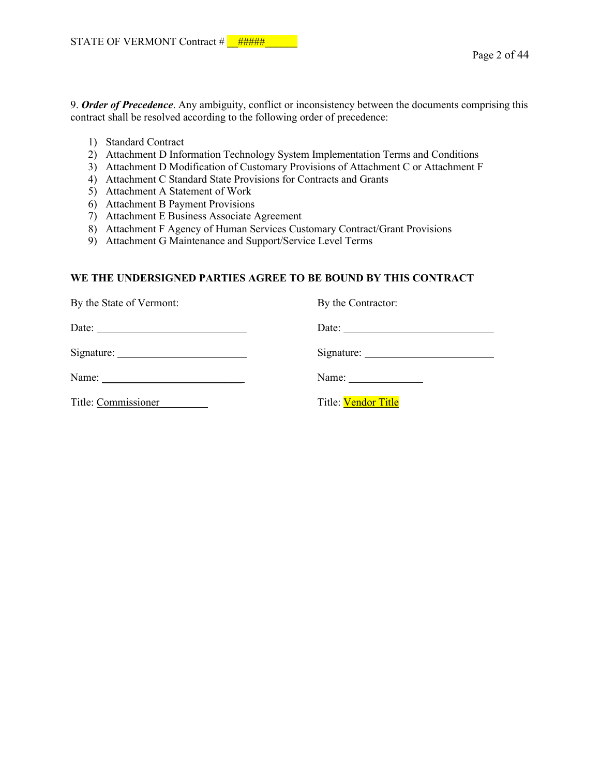9. *Order of Precedence*. Any ambiguity, conflict or inconsistency between the documents comprising this contract shall be resolved according to the following order of precedence:

- 1) Standard Contract
- 2) Attachment D Information Technology System Implementation Terms and Conditions
- 3) Attachment D Modification of Customary Provisions of Attachment C or Attachment F
- 4) Attachment C Standard State Provisions for Contracts and Grants
- 5) Attachment A Statement of Work
- 6) Attachment B Payment Provisions
- 7) Attachment E Business Associate Agreement
- 8) Attachment F Agency of Human Services Customary Contract/Grant Provisions
- 9) Attachment G Maintenance and Support/Service Level Terms

#### **WE THE UNDERSIGNED PARTIES AGREE TO BE BOUND BY THIS CONTRACT**

| By the State of Vermont: | By the Contractor:                                       |
|--------------------------|----------------------------------------------------------|
| Date: $\qquad \qquad$    | Date: $\qquad \qquad$                                    |
|                          |                                                          |
|                          | Name: $\frac{1}{\sqrt{1-\frac{1}{2}} \cdot \frac{1}{2}}$ |
| Title: Commissioner      | Title: Vendor Title                                      |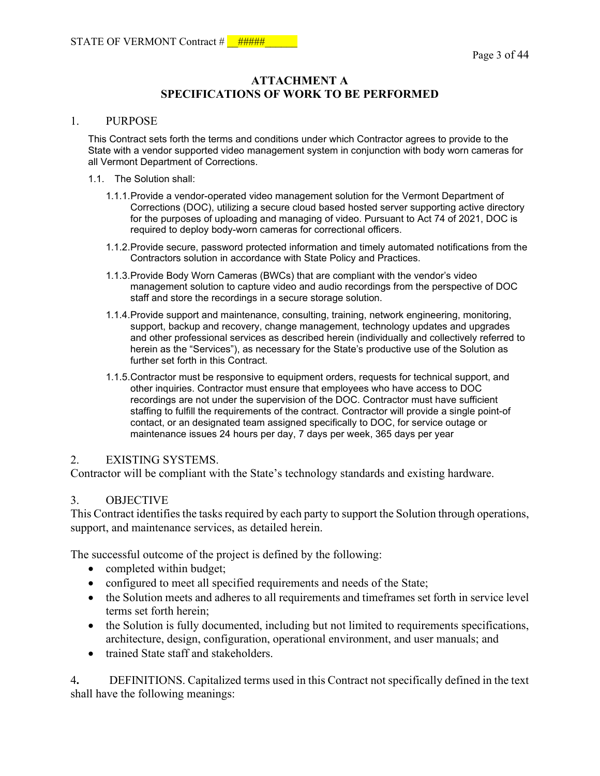# **ATTACHMENT A SPECIFICATIONS OF WORK TO BE PERFORMED**

#### 1. PURPOSE

This Contract sets forth the terms and conditions under which Contractor agrees to provide to the State with a vendor supported video management system in conjunction with body worn cameras for all Vermont Department of Corrections.

- 1.1. The Solution shall:
	- 1.1.1.Provide a vendor-operated video management solution for the Vermont Department of Corrections (DOC), utilizing a secure cloud based hosted server supporting active directory for the purposes of uploading and managing of video. Pursuant to Act 74 of 2021, DOC is required to deploy body-worn cameras for correctional officers.
	- 1.1.2.Provide secure, password protected information and timely automated notifications from the Contractors solution in accordance with State Policy and Practices.
	- 1.1.3.Provide Body Worn Cameras (BWCs) that are compliant with the vendor's video management solution to capture video and audio recordings from the perspective of DOC staff and store the recordings in a secure storage solution.
	- 1.1.4.Provide support and maintenance, consulting, training, network engineering, monitoring, support, backup and recovery, change management, technology updates and upgrades and other professional services as described herein (individually and collectively referred to herein as the "Services"), as necessary for the State's productive use of the Solution as further set forth in this Contract.
	- 1.1.5.Contractor must be responsive to equipment orders, requests for technical support, and other inquiries. Contractor must ensure that employees who have access to DOC recordings are not under the supervision of the DOC. Contractor must have sufficient staffing to fulfill the requirements of the contract. Contractor will provide a single point-of contact, or an designated team assigned specifically to DOC, for service outage or maintenance issues 24 hours per day, 7 days per week, 365 days per year

#### 2. EXISTING SYSTEMS.

Contractor will be compliant with the State's technology standards and existing hardware.

#### 3. OBJECTIVE

This Contract identifies the tasks required by each party to support the Solution through operations, support, and maintenance services, as detailed herein.

The successful outcome of the project is defined by the following:

- completed within budget;
- configured to meet all specified requirements and needs of the State;
- the Solution meets and adheres to all requirements and time frames set forth in service level terms set forth herein;
- the Solution is fully documented, including but not limited to requirements specifications, architecture, design, configuration, operational environment, and user manuals; and
- trained State staff and stakeholders.

4**.** DEFINITIONS. Capitalized terms used in this Contract not specifically defined in the text shall have the following meanings: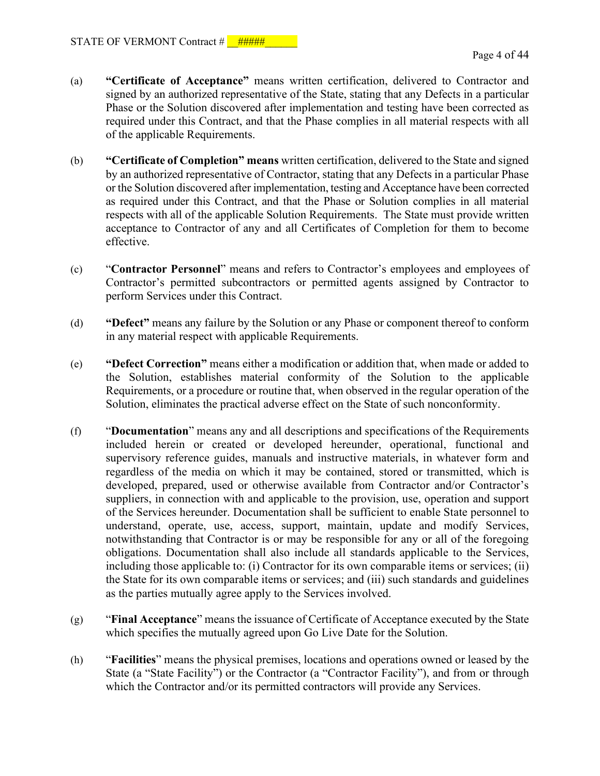- (a) **"Certificate of Acceptance"** means written certification, delivered to Contractor and signed by an authorized representative of the State, stating that any Defects in a particular Phase or the Solution discovered after implementation and testing have been corrected as required under this Contract, and that the Phase complies in all material respects with all of the applicable Requirements.
- (b) **"Certificate of Completion" means** written certification, delivered to the State and signed by an authorized representative of Contractor, stating that any Defects in a particular Phase or the Solution discovered after implementation, testing and Acceptance have been corrected as required under this Contract, and that the Phase or Solution complies in all material respects with all of the applicable Solution Requirements. The State must provide written acceptance to Contractor of any and all Certificates of Completion for them to become effective.
- (c) "**Contractor Personnel**" means and refers to Contractor's employees and employees of Contractor's permitted subcontractors or permitted agents assigned by Contractor to perform Services under this Contract.
- (d) **"Defect"** means any failure by the Solution or any Phase or component thereof to conform in any material respect with applicable Requirements.
- (e) **"Defect Correction"** means either a modification or addition that, when made or added to the Solution, establishes material conformity of the Solution to the applicable Requirements, or a procedure or routine that, when observed in the regular operation of the Solution, eliminates the practical adverse effect on the State of such nonconformity.
- (f) "**Documentation**" means any and all descriptions and specifications of the Requirements included herein or created or developed hereunder, operational, functional and supervisory reference guides, manuals and instructive materials, in whatever form and regardless of the media on which it may be contained, stored or transmitted, which is developed, prepared, used or otherwise available from Contractor and/or Contractor's suppliers, in connection with and applicable to the provision, use, operation and support of the Services hereunder. Documentation shall be sufficient to enable State personnel to understand, operate, use, access, support, maintain, update and modify Services, notwithstanding that Contractor is or may be responsible for any or all of the foregoing obligations. Documentation shall also include all standards applicable to the Services, including those applicable to: (i) Contractor for its own comparable items or services; (ii) the State for its own comparable items or services; and (iii) such standards and guidelines as the parties mutually agree apply to the Services involved.
- (g) "**Final Acceptance**" means the issuance of Certificate of Acceptance executed by the State which specifies the mutually agreed upon Go Live Date for the Solution.
- (h) "**Facilities**" means the physical premises, locations and operations owned or leased by the State (a "State Facility") or the Contractor (a "Contractor Facility"), and from or through which the Contractor and/or its permitted contractors will provide any Services.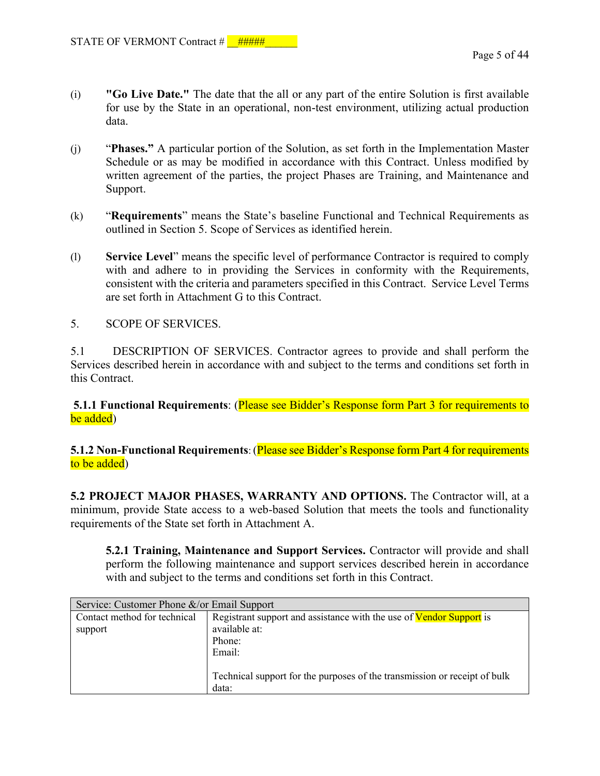- (i) **"Go Live Date."** The date that the all or any part of the entire Solution is first available for use by the State in an operational, non-test environment, utilizing actual production data.
- (j) "**Phases."** A particular portion of the Solution, as set forth in the Implementation Master Schedule or as may be modified in accordance with this Contract. Unless modified by written agreement of the parties, the project Phases are Training, and Maintenance and Support.
- (k) "**Requirements**" means the State's baseline Functional and Technical Requirements as outlined in Section 5. Scope of Services as identified herein.
- (l) **Service Level**" means the specific level of performance Contractor is required to comply with and adhere to in providing the Services in conformity with the Requirements, consistent with the criteria and parameters specified in this Contract. Service Level Terms are set forth in Attachment G to this Contract.
- 5. SCOPE OF SERVICES.

5.1 DESCRIPTION OF SERVICES. Contractor agrees to provide and shall perform the Services described herein in accordance with and subject to the terms and conditions set forth in this Contract.

 **5.1.1 Functional Requirements**: (Please see Bidder's Response form Part 3 for requirements to be added)

**5.1.2 Non-Functional Requirements**: (Please see Bidder's Response form Part 4 for requirements to be added)

**5.2 PROJECT MAJOR PHASES, WARRANTY AND OPTIONS.** The Contractor will, at a minimum, provide State access to a web-based Solution that meets the tools and functionality requirements of the State set forth in Attachment A.

**5.2.1 Training, Maintenance and Support Services.** Contractor will provide and shall perform the following maintenance and support services described herein in accordance with and subject to the terms and conditions set forth in this Contract.

| Service: Customer Phone &/or Email Support |                                                                                                          |  |
|--------------------------------------------|----------------------------------------------------------------------------------------------------------|--|
| Contact method for technical<br>support    | Registrant support and assistance with the use of Vendor Support is<br>available at:<br>Phone:<br>Email: |  |
|                                            | Technical support for the purposes of the transmission or receipt of bulk<br>data:                       |  |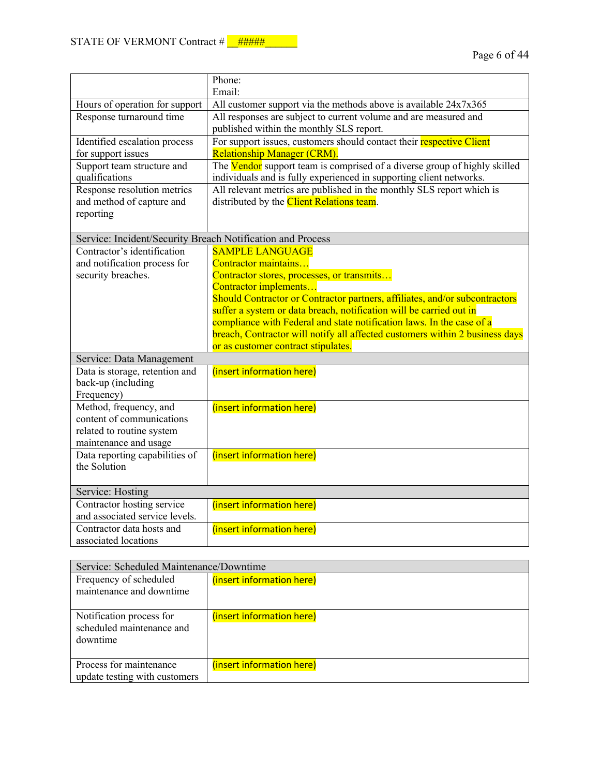|                                                                                                                                                 | Phone:<br>Email:                                                                                                                                                                                                                                                                                                                                                                                                                                                                                         |
|-------------------------------------------------------------------------------------------------------------------------------------------------|----------------------------------------------------------------------------------------------------------------------------------------------------------------------------------------------------------------------------------------------------------------------------------------------------------------------------------------------------------------------------------------------------------------------------------------------------------------------------------------------------------|
| Hours of operation for support                                                                                                                  | All customer support via the methods above is available 24x7x365                                                                                                                                                                                                                                                                                                                                                                                                                                         |
| Response turnaround time                                                                                                                        | All responses are subject to current volume and are measured and<br>published within the monthly SLS report.                                                                                                                                                                                                                                                                                                                                                                                             |
| Identified escalation process<br>for support issues                                                                                             | For support issues, customers should contact their respective Client<br>Relationship Manager (CRM).                                                                                                                                                                                                                                                                                                                                                                                                      |
| Support team structure and<br>qualifications                                                                                                    | The Vendor support team is comprised of a diverse group of highly skilled<br>individuals and is fully experienced in supporting client networks.                                                                                                                                                                                                                                                                                                                                                         |
| Response resolution metrics<br>and method of capture and<br>reporting                                                                           | All relevant metrics are published in the monthly SLS report which is<br>distributed by the Client Relations team.                                                                                                                                                                                                                                                                                                                                                                                       |
| Service: Incident/Security Breach Notification and Process                                                                                      |                                                                                                                                                                                                                                                                                                                                                                                                                                                                                                          |
| Contractor's identification<br>and notification process for<br>security breaches.<br>Service: Data Management<br>Data is storage, retention and | <b>SAMPLE LANGUAGE</b><br>Contractor maintains<br>Contractor stores, processes, or transmits<br>Contractor implements<br>Should Contractor or Contractor partners, affiliates, and/or subcontractors<br>suffer a system or data breach, notification will be carried out in<br>compliance with Federal and state notification laws. In the case of a<br>breach, Contractor will notify all affected customers within 2 business days<br>or as customer contract stipulates.<br>(insert information here) |
| back-up (including<br>Frequency)                                                                                                                |                                                                                                                                                                                                                                                                                                                                                                                                                                                                                                          |
| Method, frequency, and<br>content of communications<br>related to routine system<br>maintenance and usage<br>Data reporting capabilities of     | (insert information here)<br>(insert information here)                                                                                                                                                                                                                                                                                                                                                                                                                                                   |
| the Solution                                                                                                                                    |                                                                                                                                                                                                                                                                                                                                                                                                                                                                                                          |
| Service: Hosting<br>Contractor hosting service                                                                                                  | (insert information here)                                                                                                                                                                                                                                                                                                                                                                                                                                                                                |
| and associated service levels.                                                                                                                  |                                                                                                                                                                                                                                                                                                                                                                                                                                                                                                          |
| Contractor data hosts and<br>associated locations                                                                                               | (insert information here)                                                                                                                                                                                                                                                                                                                                                                                                                                                                                |

| Service: Scheduled Maintenance/Downtime                           |                           |  |
|-------------------------------------------------------------------|---------------------------|--|
| Frequency of scheduled<br>maintenance and downtime                | (insert information here) |  |
| Notification process for<br>scheduled maintenance and<br>downtime | (insert information here) |  |
| Process for maintenance<br>update testing with customers          | (insert information here) |  |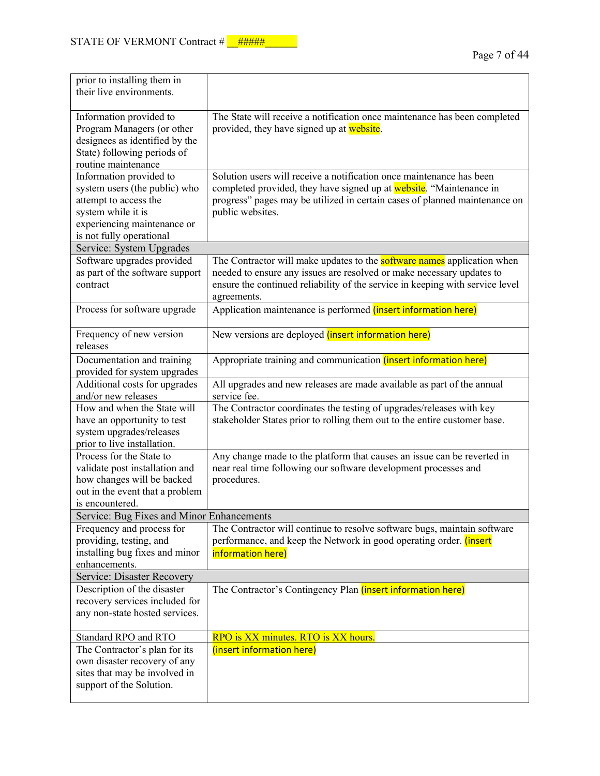| prior to installing them in<br>their live environments.                                                                                                            |                                                                                                                                                                                                                                                         |
|--------------------------------------------------------------------------------------------------------------------------------------------------------------------|---------------------------------------------------------------------------------------------------------------------------------------------------------------------------------------------------------------------------------------------------------|
| Information provided to<br>Program Managers (or other<br>designees as identified by the<br>State) following periods of<br>routine maintenance                      | The State will receive a notification once maintenance has been completed<br>provided, they have signed up at website.                                                                                                                                  |
| Information provided to<br>system users (the public) who<br>attempt to access the<br>system while it is<br>experiencing maintenance or<br>is not fully operational | Solution users will receive a notification once maintenance has been<br>completed provided, they have signed up at website. "Maintenance in<br>progress" pages may be utilized in certain cases of planned maintenance on<br>public websites.           |
| Service: System Upgrades                                                                                                                                           |                                                                                                                                                                                                                                                         |
| Software upgrades provided<br>as part of the software support<br>contract                                                                                          | The Contractor will make updates to the <b>software names</b> application when<br>needed to ensure any issues are resolved or make necessary updates to<br>ensure the continued reliability of the service in keeping with service level<br>agreements. |
| Process for software upgrade                                                                                                                                       | Application maintenance is performed <i>(insert information here)</i>                                                                                                                                                                                   |
| Frequency of new version<br>releases                                                                                                                               | New versions are deployed (insert information here)                                                                                                                                                                                                     |
| Documentation and training<br>provided for system upgrades                                                                                                         | Appropriate training and communication (insert information here)                                                                                                                                                                                        |
| Additional costs for upgrades<br>and/or new releases                                                                                                               | All upgrades and new releases are made available as part of the annual<br>service fee.                                                                                                                                                                  |
| How and when the State will<br>have an opportunity to test<br>system upgrades/releases<br>prior to live installation.                                              | The Contractor coordinates the testing of upgrades/releases with key<br>stakeholder States prior to rolling them out to the entire customer base.                                                                                                       |
| Process for the State to<br>validate post installation and<br>how changes will be backed<br>out in the event that a problem<br>is encountered.                     | Any change made to the platform that causes an issue can be reverted in<br>near real time following our software development processes and<br>procedures.                                                                                               |
| Service: Bug Fixes and Minor Enhancements                                                                                                                          |                                                                                                                                                                                                                                                         |
| Frequency and process for<br>providing, testing, and<br>installing bug fixes and minor<br>enhancements.                                                            | The Contractor will continue to resolve software bugs, maintain software<br>performance, and keep the Network in good operating order. (insert<br>information here)                                                                                     |
| Service: Disaster Recovery                                                                                                                                         |                                                                                                                                                                                                                                                         |
| Description of the disaster<br>recovery services included for<br>any non-state hosted services.                                                                    | The Contractor's Contingency Plan (insert information here)                                                                                                                                                                                             |
| Standard RPO and RTO                                                                                                                                               | RPO is XX minutes. RTO is XX hours.                                                                                                                                                                                                                     |
| The Contractor's plan for its<br>own disaster recovery of any<br>sites that may be involved in<br>support of the Solution.                                         | (insert information here)                                                                                                                                                                                                                               |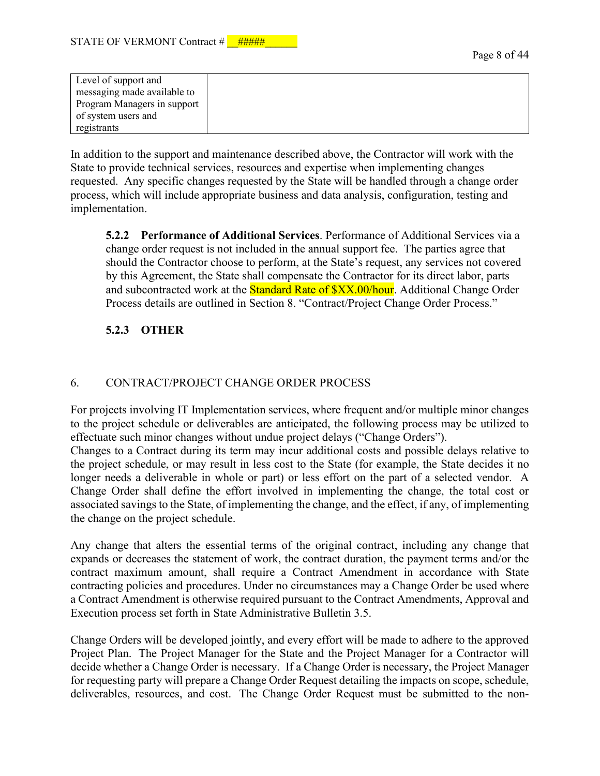| Level of support and        |  |
|-----------------------------|--|
| messaging made available to |  |
| Program Managers in support |  |
| of system users and         |  |
| registrants                 |  |

In addition to the support and maintenance described above, the Contractor will work with the State to provide technical services, resources and expertise when implementing changes requested. Any specific changes requested by the State will be handled through a change order process, which will include appropriate business and data analysis, configuration, testing and implementation.

**5.2.2 Performance of Additional Services**. Performance of Additional Services via a change order request is not included in the annual support fee. The parties agree that should the Contractor choose to perform, at the State's request, any services not covered by this Agreement, the State shall compensate the Contractor for its direct labor, parts and subcontracted work at the **Standard Rate of \$XX.00/hour**. Additional Change Order Process details are outlined in Section 8. "Contract/Project Change Order Process."

# **5.2.3 OTHER**

# 6. CONTRACT/PROJECT CHANGE ORDER PROCESS

For projects involving IT Implementation services, where frequent and/or multiple minor changes to the project schedule or deliverables are anticipated, the following process may be utilized to effectuate such minor changes without undue project delays ("Change Orders").

Changes to a Contract during its term may incur additional costs and possible delays relative to the project schedule, or may result in less cost to the State (for example, the State decides it no longer needs a deliverable in whole or part) or less effort on the part of a selected vendor. A Change Order shall define the effort involved in implementing the change, the total cost or associated savings to the State, of implementing the change, and the effect, if any, of implementing the change on the project schedule.

Any change that alters the essential terms of the original contract, including any change that expands or decreases the statement of work, the contract duration, the payment terms and/or the contract maximum amount, shall require a Contract Amendment in accordance with State contracting policies and procedures. Under no circumstances may a Change Order be used where a Contract Amendment is otherwise required pursuant to the Contract Amendments, Approval and Execution process set forth in State Administrative Bulletin 3.5.

Change Orders will be developed jointly, and every effort will be made to adhere to the approved Project Plan. The Project Manager for the State and the Project Manager for a Contractor will decide whether a Change Order is necessary. If a Change Order is necessary, the Project Manager for requesting party will prepare a Change Order Request detailing the impacts on scope, schedule, deliverables, resources, and cost. The Change Order Request must be submitted to the non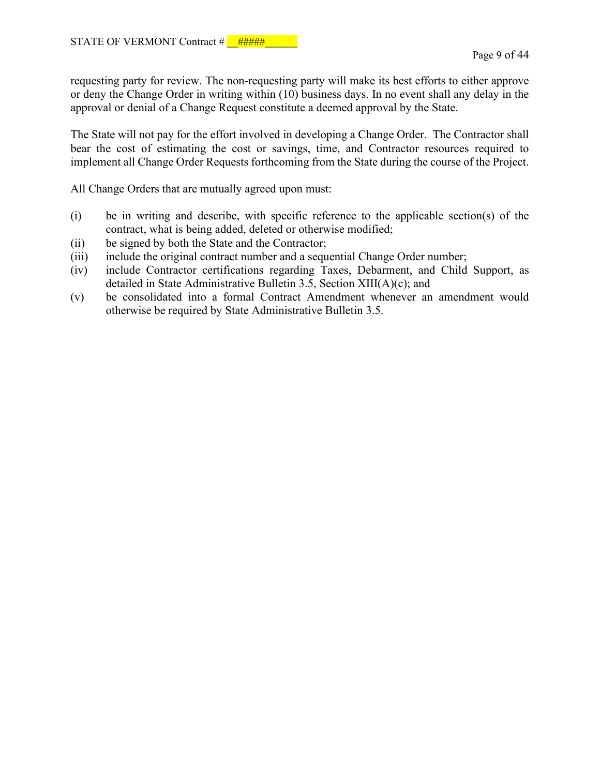requesting party for review. The non-requesting party will make its best efforts to either approve or deny the Change Order in writing within (10) business days. In no event shall any delay in the approval or denial of a Change Request constitute a deemed approval by the State.

The State will not pay for the effort involved in developing a Change Order. The Contractor shall bear the cost of estimating the cost or savings, time, and Contractor resources required to implement all Change Order Requests forthcoming from the State during the course of the Project.

All Change Orders that are mutually agreed upon must:

- (i) be in writing and describe, with specific reference to the applicable section(s) of the contract, what is being added, deleted or otherwise modified;
- (ii) be signed by both the State and the Contractor;
- (iii) include the original contract number and a sequential Change Order number;
- (iv) include Contractor certifications regarding Taxes, Debarment, and Child Support, as detailed in State Administrative Bulletin 3.5, Section XIII(A)(c); and
- (v) be consolidated into a formal Contract Amendment whenever an amendment would otherwise be required by State Administrative Bulletin 3.5.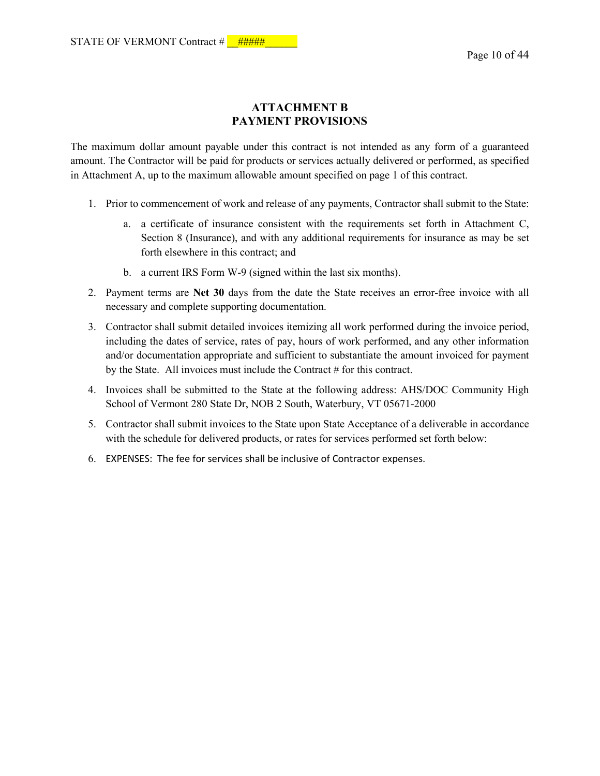# **ATTACHMENT B PAYMENT PROVISIONS**

The maximum dollar amount payable under this contract is not intended as any form of a guaranteed amount. The Contractor will be paid for products or services actually delivered or performed, as specified in Attachment A, up to the maximum allowable amount specified on page 1 of this contract.

- 1. Prior to commencement of work and release of any payments, Contractor shall submit to the State:
	- a. a certificate of insurance consistent with the requirements set forth in Attachment C, Section 8 (Insurance), and with any additional requirements for insurance as may be set forth elsewhere in this contract; and
	- b. a current IRS Form W-9 (signed within the last six months).
- 2. Payment terms are **Net 30** days from the date the State receives an error-free invoice with all necessary and complete supporting documentation.
- 3. Contractor shall submit detailed invoices itemizing all work performed during the invoice period, including the dates of service, rates of pay, hours of work performed, and any other information and/or documentation appropriate and sufficient to substantiate the amount invoiced for payment by the State. All invoices must include the Contract # for this contract.
- 4. Invoices shall be submitted to the State at the following address: AHS/DOC Community High School of Vermont 280 State Dr, NOB 2 South, Waterbury, VT 05671-2000
- 5. Contractor shall submit invoices to the State upon State Acceptance of a deliverable in accordance with the schedule for delivered products, or rates for services performed set forth below:
- 6. EXPENSES: The fee for services shall be inclusive of Contractor expenses.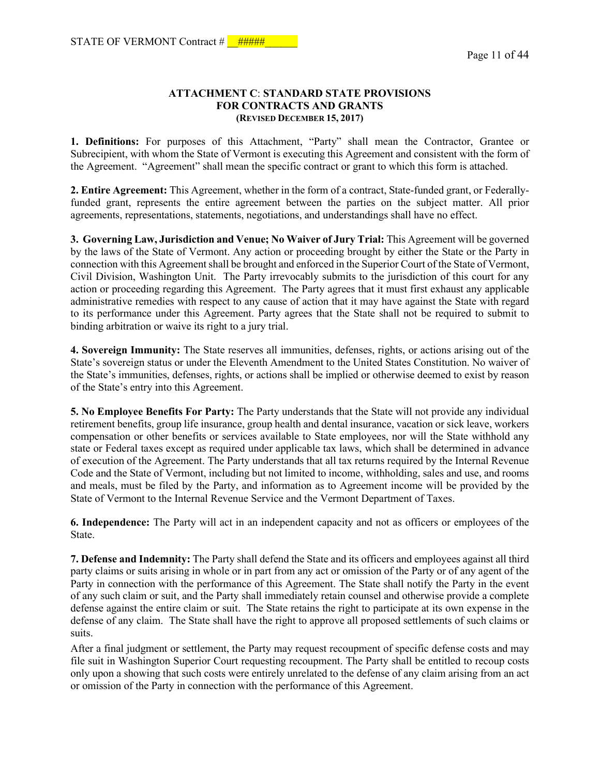#### **ATTACHMENT C**: **STANDARD STATE PROVISIONS FOR CONTRACTS AND GRANTS (REVISED DECEMBER 15, 2017)**

**1. Definitions:** For purposes of this Attachment, "Party" shall mean the Contractor, Grantee or Subrecipient, with whom the State of Vermont is executing this Agreement and consistent with the form of the Agreement. "Agreement" shall mean the specific contract or grant to which this form is attached.

**2. Entire Agreement:** This Agreement, whether in the form of a contract, State-funded grant, or Federallyfunded grant, represents the entire agreement between the parties on the subject matter. All prior agreements, representations, statements, negotiations, and understandings shall have no effect.

**3. Governing Law, Jurisdiction and Venue; No Waiver of Jury Trial:** This Agreement will be governed by the laws of the State of Vermont. Any action or proceeding brought by either the State or the Party in connection with this Agreement shall be brought and enforced in the Superior Court of the State of Vermont, Civil Division, Washington Unit. The Party irrevocably submits to the jurisdiction of this court for any action or proceeding regarding this Agreement. The Party agrees that it must first exhaust any applicable administrative remedies with respect to any cause of action that it may have against the State with regard to its performance under this Agreement. Party agrees that the State shall not be required to submit to binding arbitration or waive its right to a jury trial.

**4. Sovereign Immunity:** The State reserves all immunities, defenses, rights, or actions arising out of the State's sovereign status or under the Eleventh Amendment to the United States Constitution. No waiver of the State's immunities, defenses, rights, or actions shall be implied or otherwise deemed to exist by reason of the State's entry into this Agreement.

**5. No Employee Benefits For Party:** The Party understands that the State will not provide any individual retirement benefits, group life insurance, group health and dental insurance, vacation or sick leave, workers compensation or other benefits or services available to State employees, nor will the State withhold any state or Federal taxes except as required under applicable tax laws, which shall be determined in advance of execution of the Agreement. The Party understands that all tax returns required by the Internal Revenue Code and the State of Vermont, including but not limited to income, withholding, sales and use, and rooms and meals, must be filed by the Party, and information as to Agreement income will be provided by the State of Vermont to the Internal Revenue Service and the Vermont Department of Taxes.

**6. Independence:** The Party will act in an independent capacity and not as officers or employees of the State.

**7. Defense and Indemnity:** The Party shall defend the State and its officers and employees against all third party claims or suits arising in whole or in part from any act or omission of the Party or of any agent of the Party in connection with the performance of this Agreement. The State shall notify the Party in the event of any such claim or suit, and the Party shall immediately retain counsel and otherwise provide a complete defense against the entire claim or suit. The State retains the right to participate at its own expense in the defense of any claim. The State shall have the right to approve all proposed settlements of such claims or suits.

After a final judgment or settlement, the Party may request recoupment of specific defense costs and may file suit in Washington Superior Court requesting recoupment. The Party shall be entitled to recoup costs only upon a showing that such costs were entirely unrelated to the defense of any claim arising from an act or omission of the Party in connection with the performance of this Agreement.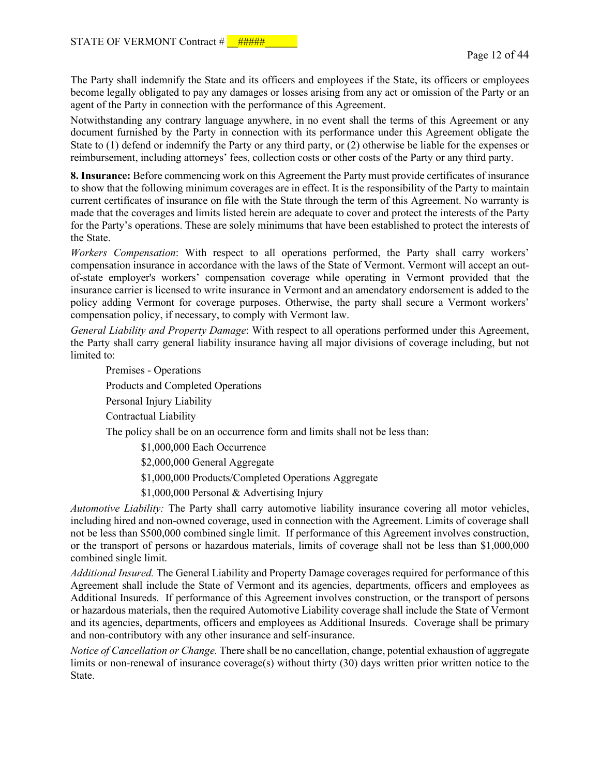The Party shall indemnify the State and its officers and employees if the State, its officers or employees become legally obligated to pay any damages or losses arising from any act or omission of the Party or an agent of the Party in connection with the performance of this Agreement.

Notwithstanding any contrary language anywhere, in no event shall the terms of this Agreement or any document furnished by the Party in connection with its performance under this Agreement obligate the State to (1) defend or indemnify the Party or any third party, or (2) otherwise be liable for the expenses or reimbursement, including attorneys' fees, collection costs or other costs of the Party or any third party.

**8. Insurance:** Before commencing work on this Agreement the Party must provide certificates of insurance to show that the following minimum coverages are in effect. It is the responsibility of the Party to maintain current certificates of insurance on file with the State through the term of this Agreement. No warranty is made that the coverages and limits listed herein are adequate to cover and protect the interests of the Party for the Party's operations. These are solely minimums that have been established to protect the interests of the State.

*Workers Compensation*: With respect to all operations performed, the Party shall carry workers' compensation insurance in accordance with the laws of the State of Vermont. Vermont will accept an outof-state employer's workers' compensation coverage while operating in Vermont provided that the insurance carrier is licensed to write insurance in Vermont and an amendatory endorsement is added to the policy adding Vermont for coverage purposes. Otherwise, the party shall secure a Vermont workers' compensation policy, if necessary, to comply with Vermont law.

*General Liability and Property Damage*: With respect to all operations performed under this Agreement, the Party shall carry general liability insurance having all major divisions of coverage including, but not limited to:

Premises - Operations Products and Completed Operations Personal Injury Liability Contractual Liability The policy shall be on an occurrence form and limits shall not be less than:

\$1,000,000 Each Occurrence

\$2,000,000 General Aggregate

\$1,000,000 Products/Completed Operations Aggregate

\$1,000,000 Personal & Advertising Injury

*Automotive Liability:* The Party shall carry automotive liability insurance covering all motor vehicles, including hired and non-owned coverage, used in connection with the Agreement. Limits of coverage shall not be less than \$500,000 combined single limit. If performance of this Agreement involves construction, or the transport of persons or hazardous materials, limits of coverage shall not be less than \$1,000,000 combined single limit.

*Additional Insured.* The General Liability and Property Damage coverages required for performance of this Agreement shall include the State of Vermont and its agencies, departments, officers and employees as Additional Insureds. If performance of this Agreement involves construction, or the transport of persons or hazardous materials, then the required Automotive Liability coverage shall include the State of Vermont and its agencies, departments, officers and employees as Additional Insureds. Coverage shall be primary and non-contributory with any other insurance and self-insurance.

*Notice of Cancellation or Change.* There shall be no cancellation, change, potential exhaustion of aggregate limits or non-renewal of insurance coverage(s) without thirty (30) days written prior written notice to the State.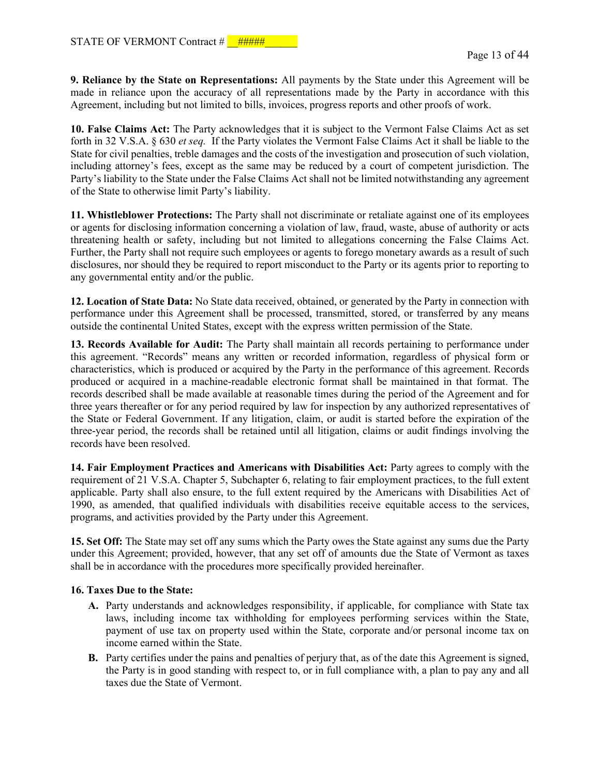**9. Reliance by the State on Representations:** All payments by the State under this Agreement will be made in reliance upon the accuracy of all representations made by the Party in accordance with this Agreement, including but not limited to bills, invoices, progress reports and other proofs of work.

**10. False Claims Act:** The Party acknowledges that it is subject to the Vermont False Claims Act as set forth in 32 V.S.A. § 630 *et seq.* If the Party violates the Vermont False Claims Act it shall be liable to the State for civil penalties, treble damages and the costs of the investigation and prosecution of such violation, including attorney's fees, except as the same may be reduced by a court of competent jurisdiction. The Party's liability to the State under the False Claims Act shall not be limited notwithstanding any agreement of the State to otherwise limit Party's liability.

**11. Whistleblower Protections:** The Party shall not discriminate or retaliate against one of its employees or agents for disclosing information concerning a violation of law, fraud, waste, abuse of authority or acts threatening health or safety, including but not limited to allegations concerning the False Claims Act. Further, the Party shall not require such employees or agents to forego monetary awards as a result of such disclosures, nor should they be required to report misconduct to the Party or its agents prior to reporting to any governmental entity and/or the public.

**12. Location of State Data:** No State data received, obtained, or generated by the Party in connection with performance under this Agreement shall be processed, transmitted, stored, or transferred by any means outside the continental United States, except with the express written permission of the State.

**13. Records Available for Audit:** The Party shall maintain all records pertaining to performance under this agreement. "Records" means any written or recorded information, regardless of physical form or characteristics, which is produced or acquired by the Party in the performance of this agreement. Records produced or acquired in a machine-readable electronic format shall be maintained in that format. The records described shall be made available at reasonable times during the period of the Agreement and for three years thereafter or for any period required by law for inspection by any authorized representatives of the State or Federal Government. If any litigation, claim, or audit is started before the expiration of the three-year period, the records shall be retained until all litigation, claims or audit findings involving the records have been resolved.

**14. Fair Employment Practices and Americans with Disabilities Act:** Party agrees to comply with the requirement of 21 V.S.A. Chapter 5, Subchapter 6, relating to fair employment practices, to the full extent applicable. Party shall also ensure, to the full extent required by the Americans with Disabilities Act of 1990, as amended, that qualified individuals with disabilities receive equitable access to the services, programs, and activities provided by the Party under this Agreement.

**15. Set Off:** The State may set off any sums which the Party owes the State against any sums due the Party under this Agreement; provided, however, that any set off of amounts due the State of Vermont as taxes shall be in accordance with the procedures more specifically provided hereinafter.

#### **16. Taxes Due to the State:**

- **A.** Party understands and acknowledges responsibility, if applicable, for compliance with State tax laws, including income tax withholding for employees performing services within the State, payment of use tax on property used within the State, corporate and/or personal income tax on income earned within the State.
- **B.** Party certifies under the pains and penalties of perjury that, as of the date this Agreement is signed, the Party is in good standing with respect to, or in full compliance with, a plan to pay any and all taxes due the State of Vermont.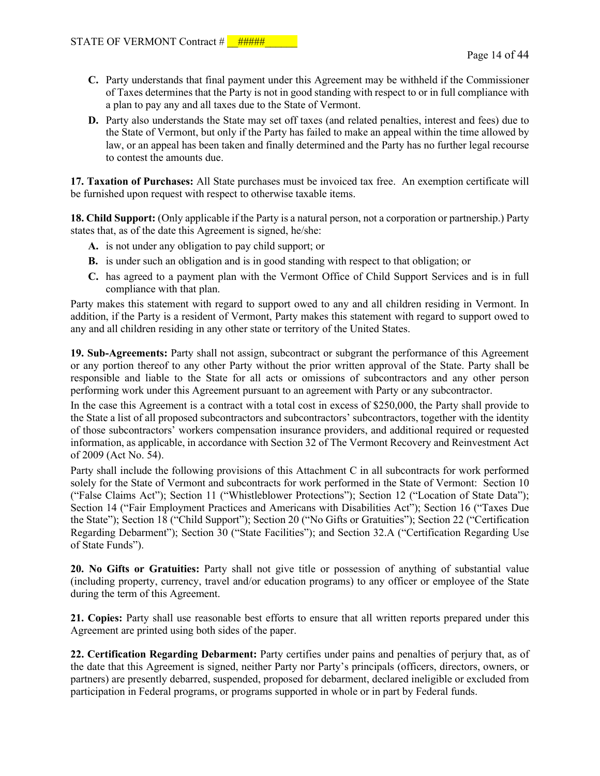- **C.** Party understands that final payment under this Agreement may be withheld if the Commissioner of Taxes determines that the Party is not in good standing with respect to or in full compliance with a plan to pay any and all taxes due to the State of Vermont.
- **D.** Party also understands the State may set off taxes (and related penalties, interest and fees) due to the State of Vermont, but only if the Party has failed to make an appeal within the time allowed by law, or an appeal has been taken and finally determined and the Party has no further legal recourse to contest the amounts due.

**17. Taxation of Purchases:** All State purchases must be invoiced tax free. An exemption certificate will be furnished upon request with respect to otherwise taxable items.

**18. Child Support:** (Only applicable if the Party is a natural person, not a corporation or partnership.) Party states that, as of the date this Agreement is signed, he/she:

- **A.** is not under any obligation to pay child support; or
- **B.** is under such an obligation and is in good standing with respect to that obligation; or
- **C.** has agreed to a payment plan with the Vermont Office of Child Support Services and is in full compliance with that plan.

Party makes this statement with regard to support owed to any and all children residing in Vermont. In addition, if the Party is a resident of Vermont, Party makes this statement with regard to support owed to any and all children residing in any other state or territory of the United States.

**19. Sub-Agreements:** Party shall not assign, subcontract or subgrant the performance of this Agreement or any portion thereof to any other Party without the prior written approval of the State. Party shall be responsible and liable to the State for all acts or omissions of subcontractors and any other person performing work under this Agreement pursuant to an agreement with Party or any subcontractor.

In the case this Agreement is a contract with a total cost in excess of \$250,000, the Party shall provide to the State a list of all proposed subcontractors and subcontractors' subcontractors, together with the identity of those subcontractors' workers compensation insurance providers, and additional required or requested information, as applicable, in accordance with Section 32 of The Vermont Recovery and Reinvestment Act of 2009 (Act No. 54).

Party shall include the following provisions of this Attachment C in all subcontracts for work performed solely for the State of Vermont and subcontracts for work performed in the State of Vermont: Section 10 ("False Claims Act"); Section 11 ("Whistleblower Protections"); Section 12 ("Location of State Data"); Section 14 ("Fair Employment Practices and Americans with Disabilities Act"); Section 16 ("Taxes Due the State"); Section 18 ("Child Support"); Section 20 ("No Gifts or Gratuities"); Section 22 ("Certification Regarding Debarment"); Section 30 ("State Facilities"); and Section 32.A ("Certification Regarding Use of State Funds").

**20. No Gifts or Gratuities:** Party shall not give title or possession of anything of substantial value (including property, currency, travel and/or education programs) to any officer or employee of the State during the term of this Agreement.

**21. Copies:** Party shall use reasonable best efforts to ensure that all written reports prepared under this Agreement are printed using both sides of the paper.

**22. Certification Regarding Debarment:** Party certifies under pains and penalties of perjury that, as of the date that this Agreement is signed, neither Party nor Party's principals (officers, directors, owners, or partners) are presently debarred, suspended, proposed for debarment, declared ineligible or excluded from participation in Federal programs, or programs supported in whole or in part by Federal funds.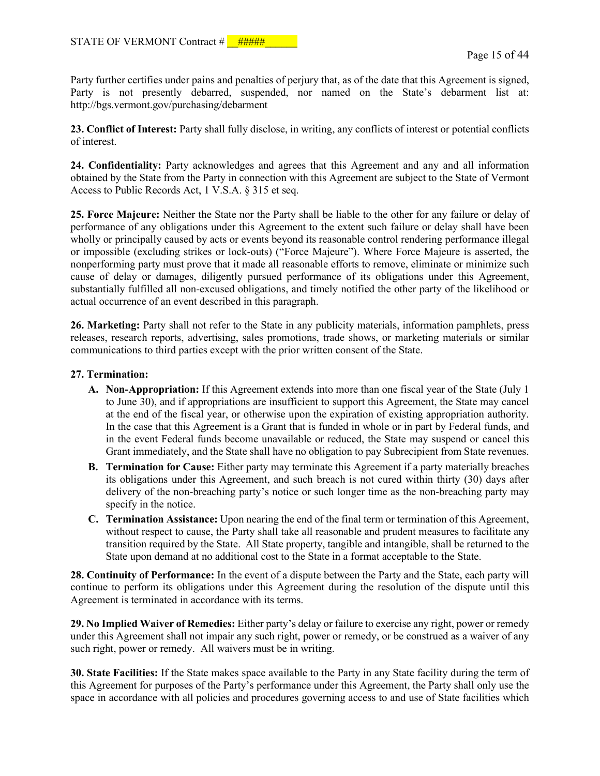Party further certifies under pains and penalties of perjury that, as of the date that this Agreement is signed, Party is not presently debarred, suspended, nor named on the State's debarment list at: http://bgs.vermont.gov/purchasing/debarment

**23. Conflict of Interest:** Party shall fully disclose, in writing, any conflicts of interest or potential conflicts of interest.

**24. Confidentiality:** Party acknowledges and agrees that this Agreement and any and all information obtained by the State from the Party in connection with this Agreement are subject to the State of Vermont Access to Public Records Act, 1 V.S.A. § 315 et seq.

**25. Force Majeure:** Neither the State nor the Party shall be liable to the other for any failure or delay of performance of any obligations under this Agreement to the extent such failure or delay shall have been wholly or principally caused by acts or events beyond its reasonable control rendering performance illegal or impossible (excluding strikes or lock-outs) ("Force Majeure"). Where Force Majeure is asserted, the nonperforming party must prove that it made all reasonable efforts to remove, eliminate or minimize such cause of delay or damages, diligently pursued performance of its obligations under this Agreement, substantially fulfilled all non-excused obligations, and timely notified the other party of the likelihood or actual occurrence of an event described in this paragraph.

**26. Marketing:** Party shall not refer to the State in any publicity materials, information pamphlets, press releases, research reports, advertising, sales promotions, trade shows, or marketing materials or similar communications to third parties except with the prior written consent of the State.

#### **27. Termination:**

- **A. Non-Appropriation:** If this Agreement extends into more than one fiscal year of the State (July 1 to June 30), and if appropriations are insufficient to support this Agreement, the State may cancel at the end of the fiscal year, or otherwise upon the expiration of existing appropriation authority. In the case that this Agreement is a Grant that is funded in whole or in part by Federal funds, and in the event Federal funds become unavailable or reduced, the State may suspend or cancel this Grant immediately, and the State shall have no obligation to pay Subrecipient from State revenues.
- **B. Termination for Cause:** Either party may terminate this Agreement if a party materially breaches its obligations under this Agreement, and such breach is not cured within thirty (30) days after delivery of the non-breaching party's notice or such longer time as the non-breaching party may specify in the notice.
- **C. Termination Assistance:** Upon nearing the end of the final term or termination of this Agreement, without respect to cause, the Party shall take all reasonable and prudent measures to facilitate any transition required by the State. All State property, tangible and intangible, shall be returned to the State upon demand at no additional cost to the State in a format acceptable to the State.

**28. Continuity of Performance:** In the event of a dispute between the Party and the State, each party will continue to perform its obligations under this Agreement during the resolution of the dispute until this Agreement is terminated in accordance with its terms.

**29. No Implied Waiver of Remedies:** Either party's delay or failure to exercise any right, power or remedy under this Agreement shall not impair any such right, power or remedy, or be construed as a waiver of any such right, power or remedy. All waivers must be in writing.

**30. State Facilities:** If the State makes space available to the Party in any State facility during the term of this Agreement for purposes of the Party's performance under this Agreement, the Party shall only use the space in accordance with all policies and procedures governing access to and use of State facilities which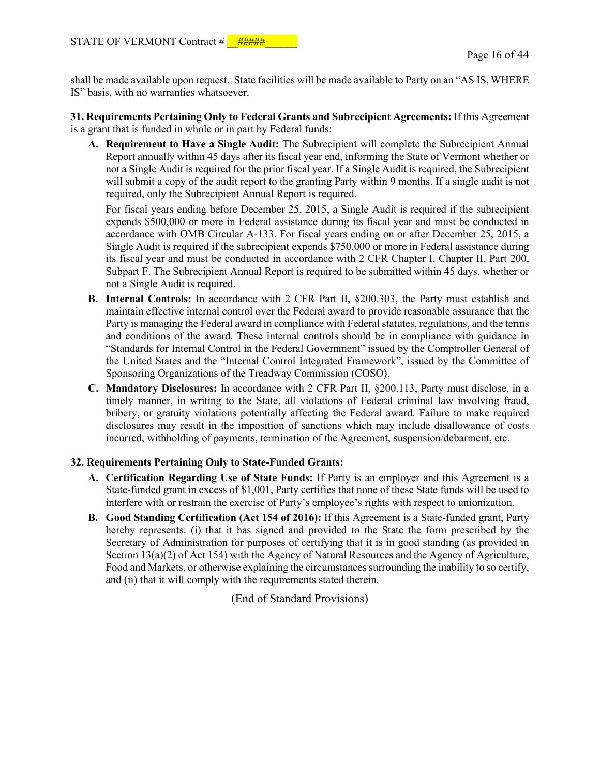shall be made available upon request. State facilities will be made available to Party on an "AS IS, WHERE IS" basis, with no warranties whatsoever.

**31. Requirements Pertaining Only to Federal Grants and Subrecipient Agreements:** If this Agreement is a grant that is funded in whole or in part by Federal funds:

**A. Requirement to Have a Single Audit:** The Subrecipient will complete the Subrecipient Annual Report annually within 45 days after its fiscal year end, informing the State of Vermont whether or not a Single Audit is required for the prior fiscal year. If a Single Audit is required, the Subrecipient will submit a copy of the audit report to the granting Party within 9 months. If a single audit is not required, only the Subrecipient Annual Report is required.

For fiscal years ending before December 25, 2015, a Single Audit is required if the subrecipient expends \$500,000 or more in Federal assistance during its fiscal year and must be conducted in accordance with OMB Circular A-133. For fiscal years ending on or after December 25, 2015, a Single Audit is required if the subrecipient expends \$750,000 or more in Federal assistance during its fiscal year and must be conducted in accordance with 2 CFR Chapter I, Chapter II, Part 200, Subpart F. The Subrecipient Annual Report is required to be submitted within 45 days, whether or not a Single Audit is required.

- **B. Internal Controls:** In accordance with 2 CFR Part II, §200.303, the Party must establish and maintain effective internal control over the Federal award to provide reasonable assurance that the Party is managing the Federal award in compliance with Federal statutes, regulations, and the terms and conditions of the award. These internal controls should be in compliance with guidance in "Standards for Internal Control in the Federal Government" issued by the Comptroller General of the United States and the "Internal Control Integrated Framework", issued by the Committee of Sponsoring Organizations of the Treadway Commission (COSO).
- **C. Mandatory Disclosures:** In accordance with 2 CFR Part II, §200.113, Party must disclose, in a timely manner, in writing to the State, all violations of Federal criminal law involving fraud, bribery, or gratuity violations potentially affecting the Federal award. Failure to make required disclosures may result in the imposition of sanctions which may include disallowance of costs incurred, withholding of payments, termination of the Agreement, suspension/debarment, etc.

#### **32. Requirements Pertaining Only to State-Funded Grants:**

- **A. Certification Regarding Use of State Funds:** If Party is an employer and this Agreement is a State-funded grant in excess of \$1,001, Party certifies that none of these State funds will be used to interfere with or restrain the exercise of Party's employee's rights with respect to unionization.
- **B. Good Standing Certification (Act 154 of 2016):** If this Agreement is a State-funded grant, Party hereby represents: (i) that it has signed and provided to the State the form prescribed by the Secretary of Administration for purposes of certifying that it is in good standing (as provided in Section 13(a)(2) of Act 154) with the Agency of Natural Resources and the Agency of Agriculture, Food and Markets, or otherwise explaining the circumstances surrounding the inability to so certify, and (ii) that it will comply with the requirements stated therein.

(End of Standard Provisions)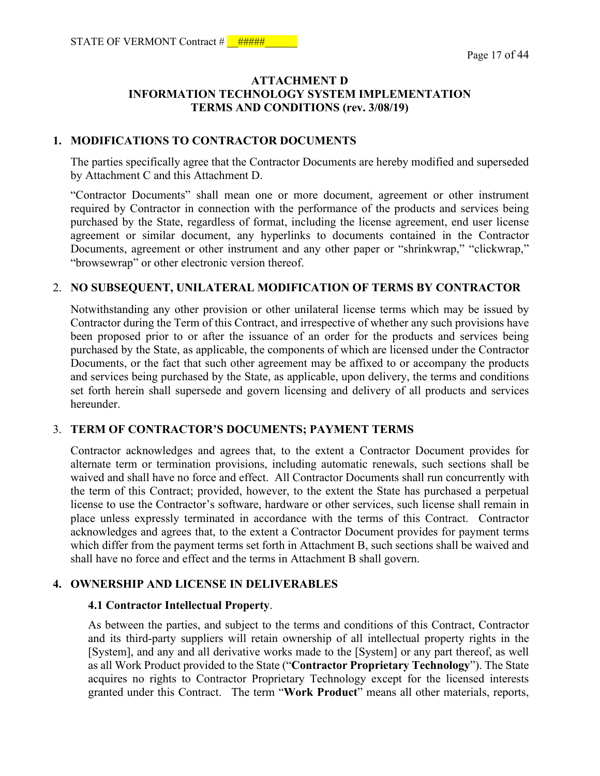## **ATTACHMENT D INFORMATION TECHNOLOGY SYSTEM IMPLEMENTATION TERMS AND CONDITIONS (rev. 3/08/19)**

#### **1. MODIFICATIONS TO CONTRACTOR DOCUMENTS**

The parties specifically agree that the Contractor Documents are hereby modified and superseded by Attachment C and this Attachment D.

"Contractor Documents" shall mean one or more document, agreement or other instrument required by Contractor in connection with the performance of the products and services being purchased by the State, regardless of format, including the license agreement, end user license agreement or similar document, any hyperlinks to documents contained in the Contractor Documents, agreement or other instrument and any other paper or "shrinkwrap," "clickwrap," "browsewrap" or other electronic version thereof.

### 2. **NO SUBSEQUENT, UNILATERAL MODIFICATION OF TERMS BY CONTRACTOR**

Notwithstanding any other provision or other unilateral license terms which may be issued by Contractor during the Term of this Contract, and irrespective of whether any such provisions have been proposed prior to or after the issuance of an order for the products and services being purchased by the State, as applicable, the components of which are licensed under the Contractor Documents, or the fact that such other agreement may be affixed to or accompany the products and services being purchased by the State, as applicable, upon delivery, the terms and conditions set forth herein shall supersede and govern licensing and delivery of all products and services hereunder.

#### 3. **TERM OF CONTRACTOR'S DOCUMENTS; PAYMENT TERMS**

Contractor acknowledges and agrees that, to the extent a Contractor Document provides for alternate term or termination provisions, including automatic renewals, such sections shall be waived and shall have no force and effect. All Contractor Documents shall run concurrently with the term of this Contract; provided, however, to the extent the State has purchased a perpetual license to use the Contractor's software, hardware or other services, such license shall remain in place unless expressly terminated in accordance with the terms of this Contract. Contractor acknowledges and agrees that, to the extent a Contractor Document provides for payment terms which differ from the payment terms set forth in Attachment B, such sections shall be waived and shall have no force and effect and the terms in Attachment B shall govern.

### **4. OWNERSHIP AND LICENSE IN DELIVERABLES**

#### **4.1 Contractor Intellectual Property**.

As between the parties, and subject to the terms and conditions of this Contract, Contractor and its third-party suppliers will retain ownership of all intellectual property rights in the [System], and any and all derivative works made to the [System] or any part thereof, as well as all Work Product provided to the State ("**Contractor Proprietary Technology**"). The State acquires no rights to Contractor Proprietary Technology except for the licensed interests granted under this Contract. The term "**Work Product**" means all other materials, reports,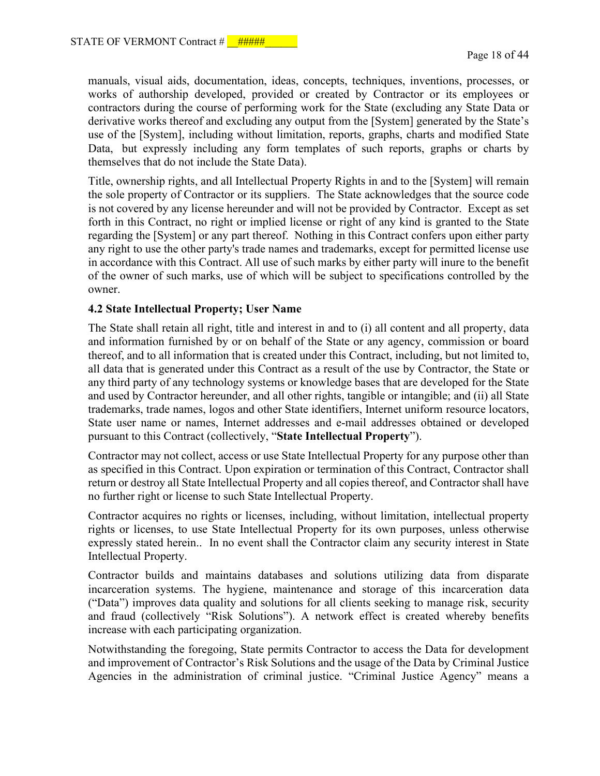manuals, visual aids, documentation, ideas, concepts, techniques, inventions, processes, or works of authorship developed, provided or created by Contractor or its employees or contractors during the course of performing work for the State (excluding any State Data or derivative works thereof and excluding any output from the [System] generated by the State's use of the [System], including without limitation, reports, graphs, charts and modified State Data, but expressly including any form templates of such reports, graphs or charts by themselves that do not include the State Data).

Title, ownership rights, and all Intellectual Property Rights in and to the [System] will remain the sole property of Contractor or its suppliers. The State acknowledges that the source code is not covered by any license hereunder and will not be provided by Contractor. Except as set forth in this Contract, no right or implied license or right of any kind is granted to the State regarding the [System] or any part thereof. Nothing in this Contract confers upon either party any right to use the other party's trade names and trademarks, except for permitted license use in accordance with this Contract. All use of such marks by either party will inure to the benefit of the owner of such marks, use of which will be subject to specifications controlled by the owner.

### **4.2 State Intellectual Property; User Name**

The State shall retain all right, title and interest in and to (i) all content and all property, data and information furnished by or on behalf of the State or any agency, commission or board thereof, and to all information that is created under this Contract, including, but not limited to, all data that is generated under this Contract as a result of the use by Contractor, the State or any third party of any technology systems or knowledge bases that are developed for the State and used by Contractor hereunder, and all other rights, tangible or intangible; and (ii) all State trademarks, trade names, logos and other State identifiers, Internet uniform resource locators, State user name or names, Internet addresses and e-mail addresses obtained or developed pursuant to this Contract (collectively, "**State Intellectual Property**").

Contractor may not collect, access or use State Intellectual Property for any purpose other than as specified in this Contract. Upon expiration or termination of this Contract, Contractor shall return or destroy all State Intellectual Property and all copies thereof, and Contractor shall have no further right or license to such State Intellectual Property.

Contractor acquires no rights or licenses, including, without limitation, intellectual property rights or licenses, to use State Intellectual Property for its own purposes, unless otherwise expressly stated herein.. In no event shall the Contractor claim any security interest in State Intellectual Property.

Contractor builds and maintains databases and solutions utilizing data from disparate incarceration systems. The hygiene, maintenance and storage of this incarceration data ("Data") improves data quality and solutions for all clients seeking to manage risk, security and fraud (collectively "Risk Solutions"). A network effect is created whereby benefits increase with each participating organization.

Notwithstanding the foregoing, State permits Contractor to access the Data for development and improvement of Contractor's Risk Solutions and the usage of the Data by Criminal Justice Agencies in the administration of criminal justice. "Criminal Justice Agency" means a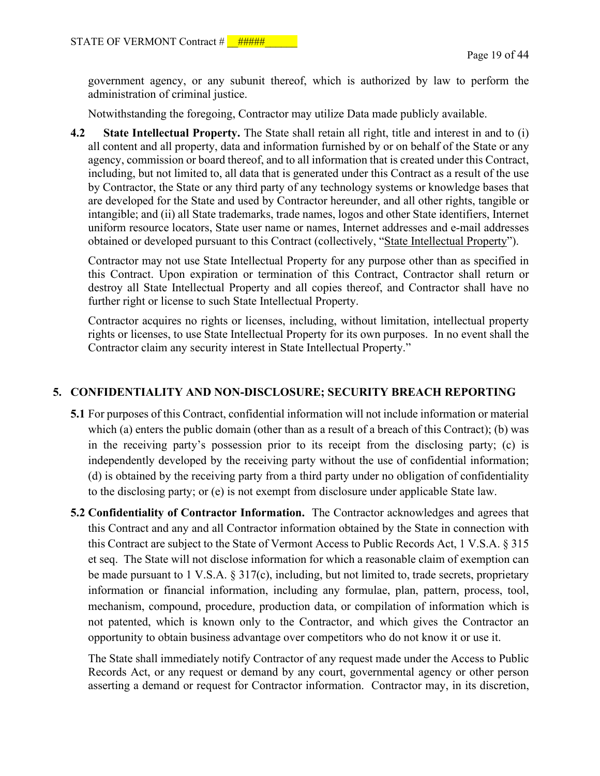government agency, or any subunit thereof, which is authorized by law to perform the administration of criminal justice.

Notwithstanding the foregoing, Contractor may utilize Data made publicly available.

**4.2 State Intellectual Property.** The State shall retain all right, title and interest in and to (i) all content and all property, data and information furnished by or on behalf of the State or any agency, commission or board thereof, and to all information that is created under this Contract, including, but not limited to, all data that is generated under this Contract as a result of the use by Contractor, the State or any third party of any technology systems or knowledge bases that are developed for the State and used by Contractor hereunder, and all other rights, tangible or intangible; and (ii) all State trademarks, trade names, logos and other State identifiers, Internet uniform resource locators, State user name or names, Internet addresses and e-mail addresses obtained or developed pursuant to this Contract (collectively, "State Intellectual Property").

Contractor may not use State Intellectual Property for any purpose other than as specified in this Contract. Upon expiration or termination of this Contract, Contractor shall return or destroy all State Intellectual Property and all copies thereof, and Contractor shall have no further right or license to such State Intellectual Property.

Contractor acquires no rights or licenses, including, without limitation, intellectual property rights or licenses, to use State Intellectual Property for its own purposes. In no event shall the Contractor claim any security interest in State Intellectual Property."

### **5. CONFIDENTIALITY AND NON-DISCLOSURE; SECURITY BREACH REPORTING**

- **5.1** For purposes of this Contract, confidential information will not include information or material which (a) enters the public domain (other than as a result of a breach of this Contract); (b) was in the receiving party's possession prior to its receipt from the disclosing party; (c) is independently developed by the receiving party without the use of confidential information; (d) is obtained by the receiving party from a third party under no obligation of confidentiality to the disclosing party; or (e) is not exempt from disclosure under applicable State law.
- **5.2 Confidentiality of Contractor Information.** The Contractor acknowledges and agrees that this Contract and any and all Contractor information obtained by the State in connection with this Contract are subject to the State of Vermont Access to Public Records Act, 1 V.S.A. § 315 et seq. The State will not disclose information for which a reasonable claim of exemption can be made pursuant to 1 V.S.A. § 317(c), including, but not limited to, trade secrets, proprietary information or financial information, including any formulae, plan, pattern, process, tool, mechanism, compound, procedure, production data, or compilation of information which is not patented, which is known only to the Contractor, and which gives the Contractor an opportunity to obtain business advantage over competitors who do not know it or use it.

The State shall immediately notify Contractor of any request made under the Access to Public Records Act, or any request or demand by any court, governmental agency or other person asserting a demand or request for Contractor information. Contractor may, in its discretion,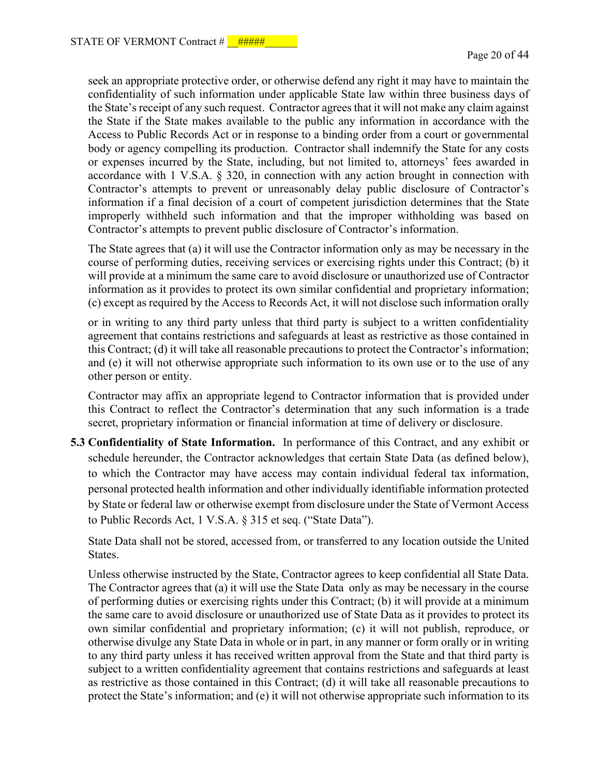seek an appropriate protective order, or otherwise defend any right it may have to maintain the confidentiality of such information under applicable State law within three business days of the State's receipt of any such request. Contractor agrees that it will not make any claim against the State if the State makes available to the public any information in accordance with the Access to Public Records Act or in response to a binding order from a court or governmental body or agency compelling its production. Contractor shall indemnify the State for any costs or expenses incurred by the State, including, but not limited to, attorneys' fees awarded in accordance with 1 V.S.A. § 320, in connection with any action brought in connection with Contractor's attempts to prevent or unreasonably delay public disclosure of Contractor's information if a final decision of a court of competent jurisdiction determines that the State improperly withheld such information and that the improper withholding was based on Contractor's attempts to prevent public disclosure of Contractor's information.

The State agrees that (a) it will use the Contractor information only as may be necessary in the course of performing duties, receiving services or exercising rights under this Contract; (b) it will provide at a minimum the same care to avoid disclosure or unauthorized use of Contractor information as it provides to protect its own similar confidential and proprietary information; (c) except as required by the Access to Records Act, it will not disclose such information orally

or in writing to any third party unless that third party is subject to a written confidentiality agreement that contains restrictions and safeguards at least as restrictive as those contained in this Contract; (d) it will take all reasonable precautions to protect the Contractor's information; and (e) it will not otherwise appropriate such information to its own use or to the use of any other person or entity.

Contractor may affix an appropriate legend to Contractor information that is provided under this Contract to reflect the Contractor's determination that any such information is a trade secret, proprietary information or financial information at time of delivery or disclosure.

**5.3 Confidentiality of State Information.** In performance of this Contract, and any exhibit or schedule hereunder, the Contractor acknowledges that certain State Data (as defined below), to which the Contractor may have access may contain individual federal tax information, personal protected health information and other individually identifiable information protected by State or federal law or otherwise exempt from disclosure under the State of Vermont Access to Public Records Act, 1 V.S.A. § 315 et seq. ("State Data").

State Data shall not be stored, accessed from, or transferred to any location outside the United States.

Unless otherwise instructed by the State, Contractor agrees to keep confidential all State Data. The Contractor agrees that (a) it will use the State Data only as may be necessary in the course of performing duties or exercising rights under this Contract; (b) it will provide at a minimum the same care to avoid disclosure or unauthorized use of State Data as it provides to protect its own similar confidential and proprietary information; (c) it will not publish, reproduce, or otherwise divulge any State Data in whole or in part, in any manner or form orally or in writing to any third party unless it has received written approval from the State and that third party is subject to a written confidentiality agreement that contains restrictions and safeguards at least as restrictive as those contained in this Contract; (d) it will take all reasonable precautions to protect the State's information; and (e) it will not otherwise appropriate such information to its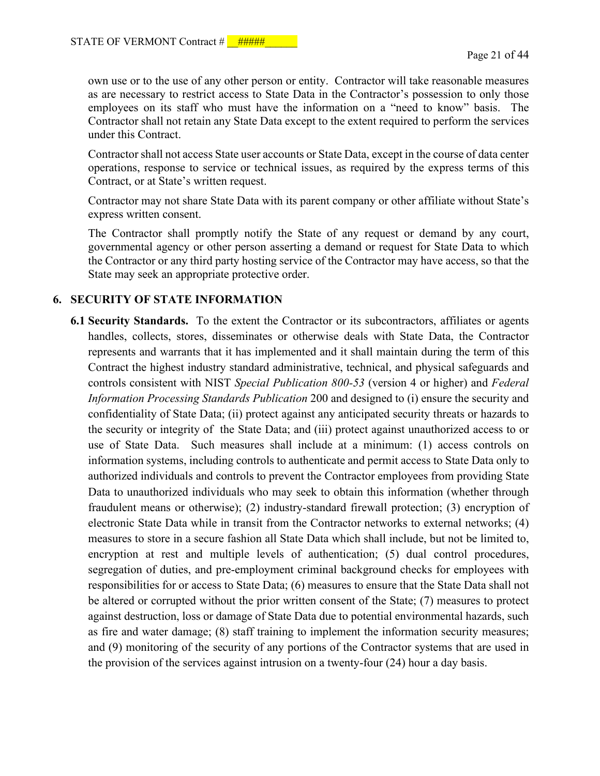own use or to the use of any other person or entity. Contractor will take reasonable measures as are necessary to restrict access to State Data in the Contractor's possession to only those employees on its staff who must have the information on a "need to know" basis. The Contractor shall not retain any State Data except to the extent required to perform the services under this Contract.

Contractor shall not access State user accounts or State Data, except in the course of data center operations, response to service or technical issues, as required by the express terms of this Contract, or at State's written request.

Contractor may not share State Data with its parent company or other affiliate without State's express written consent.

The Contractor shall promptly notify the State of any request or demand by any court, governmental agency or other person asserting a demand or request for State Data to which the Contractor or any third party hosting service of the Contractor may have access, so that the State may seek an appropriate protective order.

# **6. SECURITY OF STATE INFORMATION**

**6.1 Security Standards.** To the extent the Contractor or its subcontractors, affiliates or agents handles, collects, stores, disseminates or otherwise deals with State Data, the Contractor represents and warrants that it has implemented and it shall maintain during the term of this Contract the highest industry standard administrative, technical, and physical safeguards and controls consistent with NIST *Special Publication 800-53* (version 4 or higher) and *Federal Information Processing Standards Publication* 200 and designed to (i) ensure the security and confidentiality of State Data; (ii) protect against any anticipated security threats or hazards to the security or integrity of the State Data; and (iii) protect against unauthorized access to or use of State Data. Such measures shall include at a minimum: (1) access controls on information systems, including controls to authenticate and permit access to State Data only to authorized individuals and controls to prevent the Contractor employees from providing State Data to unauthorized individuals who may seek to obtain this information (whether through fraudulent means or otherwise); (2) industry-standard firewall protection; (3) encryption of electronic State Data while in transit from the Contractor networks to external networks; (4) measures to store in a secure fashion all State Data which shall include, but not be limited to, encryption at rest and multiple levels of authentication; (5) dual control procedures, segregation of duties, and pre-employment criminal background checks for employees with responsibilities for or access to State Data; (6) measures to ensure that the State Data shall not be altered or corrupted without the prior written consent of the State; (7) measures to protect against destruction, loss or damage of State Data due to potential environmental hazards, such as fire and water damage; (8) staff training to implement the information security measures; and (9) monitoring of the security of any portions of the Contractor systems that are used in the provision of the services against intrusion on a twenty-four (24) hour a day basis.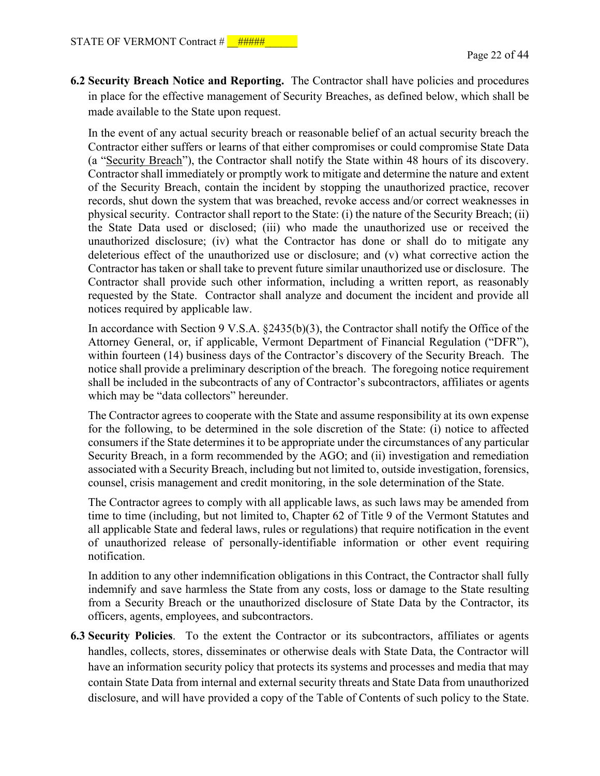**6.2 Security Breach Notice and Reporting.** The Contractor shall have policies and procedures in place for the effective management of Security Breaches, as defined below, which shall be made available to the State upon request.

In the event of any actual security breach or reasonable belief of an actual security breach the Contractor either suffers or learns of that either compromises or could compromise State Data (a "Security Breach"), the Contractor shall notify the State within 48 hours of its discovery. Contractor shall immediately or promptly work to mitigate and determine the nature and extent of the Security Breach, contain the incident by stopping the unauthorized practice, recover records, shut down the system that was breached, revoke access and/or correct weaknesses in physical security. Contractor shall report to the State: (i) the nature of the Security Breach; (ii) the State Data used or disclosed; (iii) who made the unauthorized use or received the unauthorized disclosure; (iv) what the Contractor has done or shall do to mitigate any deleterious effect of the unauthorized use or disclosure; and (v) what corrective action the Contractor has taken or shall take to prevent future similar unauthorized use or disclosure. The Contractor shall provide such other information, including a written report, as reasonably requested by the State. Contractor shall analyze and document the incident and provide all notices required by applicable law.

In accordance with Section 9 V.S.A. §2435(b)(3), the Contractor shall notify the Office of the Attorney General, or, if applicable, Vermont Department of Financial Regulation ("DFR"), within fourteen (14) business days of the Contractor's discovery of the Security Breach. The notice shall provide a preliminary description of the breach. The foregoing notice requirement shall be included in the subcontracts of any of Contractor's subcontractors, affiliates or agents which may be "data collectors" hereunder.

The Contractor agrees to cooperate with the State and assume responsibility at its own expense for the following, to be determined in the sole discretion of the State: (i) notice to affected consumers if the State determines it to be appropriate under the circumstances of any particular Security Breach, in a form recommended by the AGO; and (ii) investigation and remediation associated with a Security Breach, including but not limited to, outside investigation, forensics, counsel, crisis management and credit monitoring, in the sole determination of the State.

The Contractor agrees to comply with all applicable laws, as such laws may be amended from time to time (including, but not limited to, Chapter 62 of Title 9 of the Vermont Statutes and all applicable State and federal laws, rules or regulations) that require notification in the event of unauthorized release of personally-identifiable information or other event requiring notification.

In addition to any other indemnification obligations in this Contract, the Contractor shall fully indemnify and save harmless the State from any costs, loss or damage to the State resulting from a Security Breach or the unauthorized disclosure of State Data by the Contractor, its officers, agents, employees, and subcontractors.

**6.3 Security Policies**. To the extent the Contractor or its subcontractors, affiliates or agents handles, collects, stores, disseminates or otherwise deals with State Data, the Contractor will have an information security policy that protects its systems and processes and media that may contain State Data from internal and external security threats and State Data from unauthorized disclosure, and will have provided a copy of the Table of Contents of such policy to the State.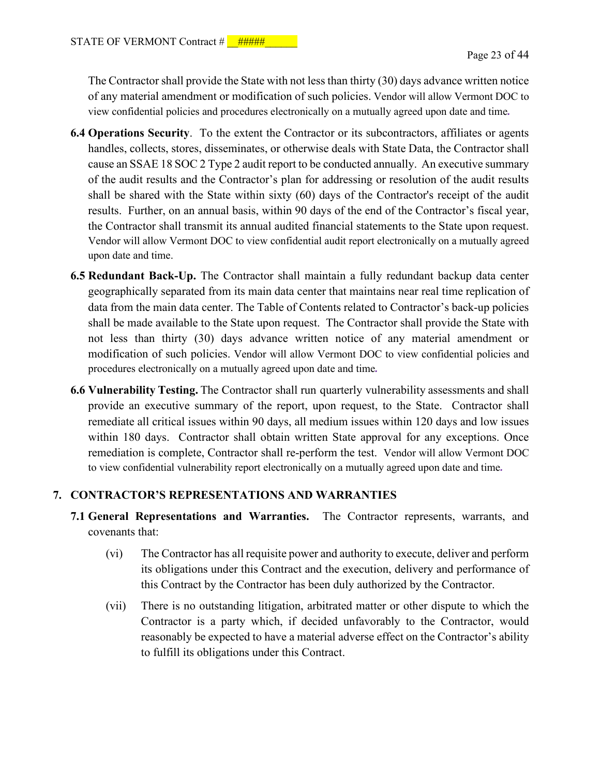The Contractor shall provide the State with not less than thirty (30) days advance written notice of any material amendment or modification of such policies. Vendor will allow Vermont DOC to view confidential policies and procedures electronically on a mutually agreed upon date and time*.*

- **6.4 Operations Security**. To the extent the Contractor or its subcontractors, affiliates or agents handles, collects, stores, disseminates, or otherwise deals with State Data, the Contractor shall cause an SSAE 18 SOC 2 Type 2 audit report to be conducted annually. An executive summary of the audit results and the Contractor's plan for addressing or resolution of the audit results shall be shared with the State within sixty (60) days of the Contractor's receipt of the audit results. Further, on an annual basis, within 90 days of the end of the Contractor's fiscal year, the Contractor shall transmit its annual audited financial statements to the State upon request. Vendor will allow Vermont DOC to view confidential audit report electronically on a mutually agreed upon date and time.
- **6.5 Redundant Back-Up.** The Contractor shall maintain a fully redundant backup data center geographically separated from its main data center that maintains near real time replication of data from the main data center. The Table of Contents related to Contractor's back-up policies shall be made available to the State upon request. The Contractor shall provide the State with not less than thirty (30) days advance written notice of any material amendment or modification of such policies. Vendor will allow Vermont DOC to view confidential policies and procedures electronically on a mutually agreed upon date and time*.*
- **6.6 Vulnerability Testing.** The Contractor shall run quarterly vulnerability assessments and shall provide an executive summary of the report, upon request, to the State. Contractor shall remediate all critical issues within 90 days, all medium issues within 120 days and low issues within 180 days. Contractor shall obtain written State approval for any exceptions. Once remediation is complete, Contractor shall re-perform the test. Vendor will allow Vermont DOC to view confidential vulnerability report electronically on a mutually agreed upon date and time*.*

## **7. CONTRACTOR'S REPRESENTATIONS AND WARRANTIES**

- **7.1 General Representations and Warranties.** The Contractor represents, warrants, and covenants that:
	- (vi) The Contractor has all requisite power and authority to execute, deliver and perform its obligations under this Contract and the execution, delivery and performance of this Contract by the Contractor has been duly authorized by the Contractor.
	- (vii) There is no outstanding litigation, arbitrated matter or other dispute to which the Contractor is a party which, if decided unfavorably to the Contractor, would reasonably be expected to have a material adverse effect on the Contractor's ability to fulfill its obligations under this Contract.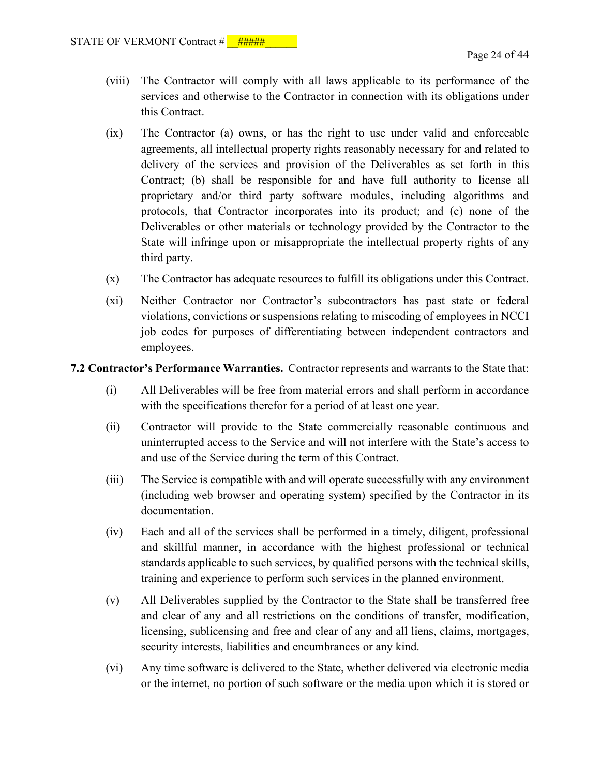- (viii) The Contractor will comply with all laws applicable to its performance of the services and otherwise to the Contractor in connection with its obligations under this Contract.
- (ix) The Contractor (a) owns, or has the right to use under valid and enforceable agreements, all intellectual property rights reasonably necessary for and related to delivery of the services and provision of the Deliverables as set forth in this Contract; (b) shall be responsible for and have full authority to license all proprietary and/or third party software modules, including algorithms and protocols, that Contractor incorporates into its product; and (c) none of the Deliverables or other materials or technology provided by the Contractor to the State will infringe upon or misappropriate the intellectual property rights of any third party.
- (x) The Contractor has adequate resources to fulfill its obligations under this Contract.
- (xi) Neither Contractor nor Contractor's subcontractors has past state or federal violations, convictions or suspensions relating to miscoding of employees in NCCI job codes for purposes of differentiating between independent contractors and employees.

**7.2 Contractor's Performance Warranties.** Contractor represents and warrants to the State that:

- (i) All Deliverables will be free from material errors and shall perform in accordance with the specifications therefor for a period of at least one year.
- (ii) Contractor will provide to the State commercially reasonable continuous and uninterrupted access to the Service and will not interfere with the State's access to and use of the Service during the term of this Contract.
- (iii) The Service is compatible with and will operate successfully with any environment (including web browser and operating system) specified by the Contractor in its documentation.
- (iv) Each and all of the services shall be performed in a timely, diligent, professional and skillful manner, in accordance with the highest professional or technical standards applicable to such services, by qualified persons with the technical skills, training and experience to perform such services in the planned environment.
- (v) All Deliverables supplied by the Contractor to the State shall be transferred free and clear of any and all restrictions on the conditions of transfer, modification, licensing, sublicensing and free and clear of any and all liens, claims, mortgages, security interests, liabilities and encumbrances or any kind.
- (vi) Any time software is delivered to the State, whether delivered via electronic media or the internet, no portion of such software or the media upon which it is stored or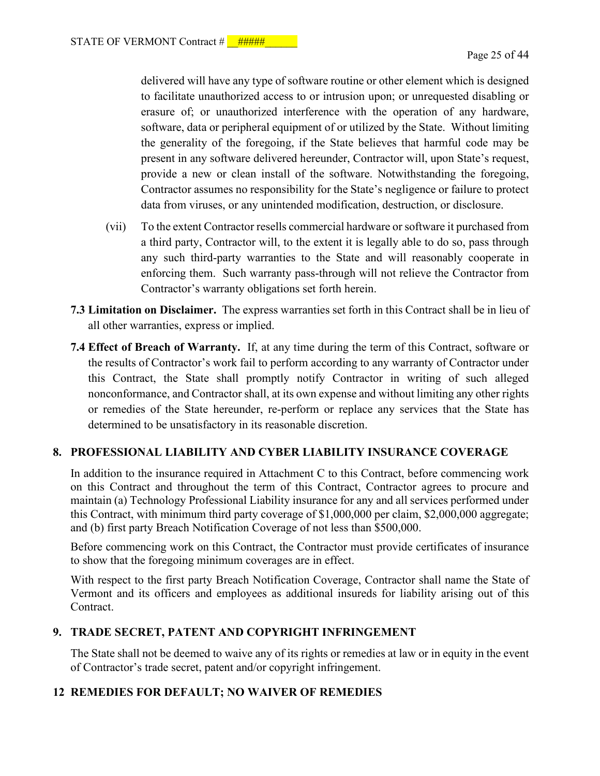delivered will have any type of software routine or other element which is designed to facilitate unauthorized access to or intrusion upon; or unrequested disabling or erasure of; or unauthorized interference with the operation of any hardware, software, data or peripheral equipment of or utilized by the State. Without limiting the generality of the foregoing, if the State believes that harmful code may be present in any software delivered hereunder, Contractor will, upon State's request, provide a new or clean install of the software. Notwithstanding the foregoing, Contractor assumes no responsibility for the State's negligence or failure to protect data from viruses, or any unintended modification, destruction, or disclosure.

- (vii) To the extent Contractor resells commercial hardware or software it purchased from a third party, Contractor will, to the extent it is legally able to do so, pass through any such third-party warranties to the State and will reasonably cooperate in enforcing them. Such warranty pass-through will not relieve the Contractor from Contractor's warranty obligations set forth herein.
- **7.3 Limitation on Disclaimer.** The express warranties set forth in this Contract shall be in lieu of all other warranties, express or implied.
- **7.4 Effect of Breach of Warranty.** If, at any time during the term of this Contract, software or the results of Contractor's work fail to perform according to any warranty of Contractor under this Contract, the State shall promptly notify Contractor in writing of such alleged nonconformance, and Contractor shall, at its own expense and without limiting any other rights or remedies of the State hereunder, re-perform or replace any services that the State has determined to be unsatisfactory in its reasonable discretion.

# **8. PROFESSIONAL LIABILITY AND CYBER LIABILITY INSURANCE COVERAGE**

In addition to the insurance required in Attachment C to this Contract, before commencing work on this Contract and throughout the term of this Contract, Contractor agrees to procure and maintain (a) Technology Professional Liability insurance for any and all services performed under this Contract, with minimum third party coverage of \$1,000,000 per claim, \$2,000,000 aggregate; and (b) first party Breach Notification Coverage of not less than \$500,000.

Before commencing work on this Contract, the Contractor must provide certificates of insurance to show that the foregoing minimum coverages are in effect.

With respect to the first party Breach Notification Coverage, Contractor shall name the State of Vermont and its officers and employees as additional insureds for liability arising out of this Contract.

## **9. TRADE SECRET, PATENT AND COPYRIGHT INFRINGEMENT**

The State shall not be deemed to waive any of its rights or remedies at law or in equity in the event of Contractor's trade secret, patent and/or copyright infringement.

## **12 REMEDIES FOR DEFAULT; NO WAIVER OF REMEDIES**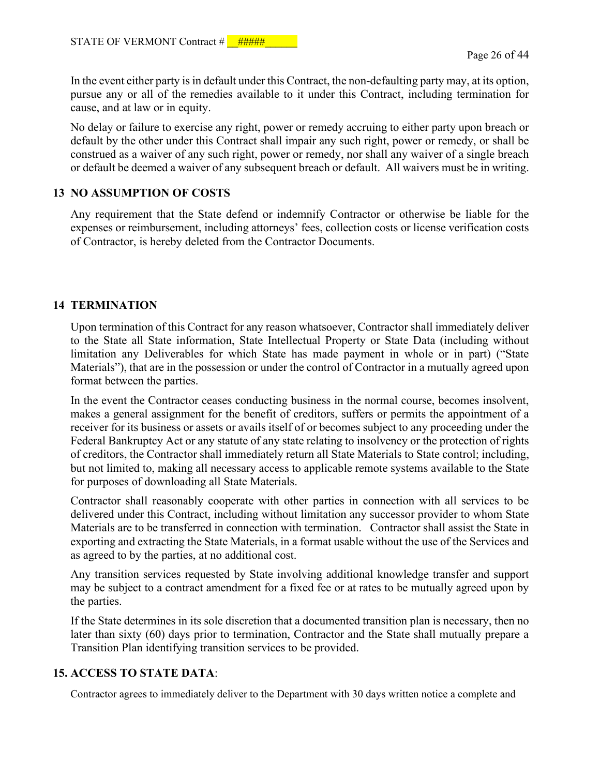In the event either party is in default under this Contract, the non-defaulting party may, at its option, pursue any or all of the remedies available to it under this Contract, including termination for cause, and at law or in equity.

No delay or failure to exercise any right, power or remedy accruing to either party upon breach or default by the other under this Contract shall impair any such right, power or remedy, or shall be construed as a waiver of any such right, power or remedy, nor shall any waiver of a single breach or default be deemed a waiver of any subsequent breach or default. All waivers must be in writing.

# **13 NO ASSUMPTION OF COSTS**

Any requirement that the State defend or indemnify Contractor or otherwise be liable for the expenses or reimbursement, including attorneys' fees, collection costs or license verification costs of Contractor, is hereby deleted from the Contractor Documents.

# **14 TERMINATION**

Upon termination of this Contract for any reason whatsoever, Contractor shall immediately deliver to the State all State information, State Intellectual Property or State Data (including without limitation any Deliverables for which State has made payment in whole or in part) ("State Materials"), that are in the possession or under the control of Contractor in a mutually agreed upon format between the parties.

In the event the Contractor ceases conducting business in the normal course, becomes insolvent, makes a general assignment for the benefit of creditors, suffers or permits the appointment of a receiver for its business or assets or avails itself of or becomes subject to any proceeding under the Federal Bankruptcy Act or any statute of any state relating to insolvency or the protection of rights of creditors, the Contractor shall immediately return all State Materials to State control; including, but not limited to, making all necessary access to applicable remote systems available to the State for purposes of downloading all State Materials.

Contractor shall reasonably cooperate with other parties in connection with all services to be delivered under this Contract, including without limitation any successor provider to whom State Materials are to be transferred in connection with termination. Contractor shall assist the State in exporting and extracting the State Materials, in a format usable without the use of the Services and as agreed to by the parties, at no additional cost.

Any transition services requested by State involving additional knowledge transfer and support may be subject to a contract amendment for a fixed fee or at rates to be mutually agreed upon by the parties.

If the State determines in its sole discretion that a documented transition plan is necessary, then no later than sixty (60) days prior to termination, Contractor and the State shall mutually prepare a Transition Plan identifying transition services to be provided.

# **15. ACCESS TO STATE DATA**:

Contractor agrees to immediately deliver to the Department with 30 days written notice a complete and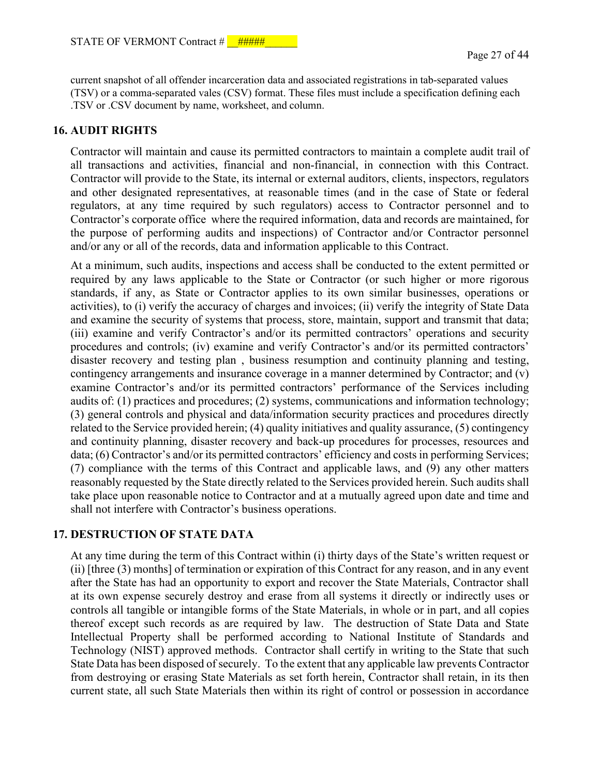current snapshot of all offender incarceration data and associated registrations in tab-separated values (TSV) or a comma-separated vales (CSV) format. These files must include a specification defining each .TSV or .CSV document by name, worksheet, and column.

### **16. AUDIT RIGHTS**

Contractor will maintain and cause its permitted contractors to maintain a complete audit trail of all transactions and activities, financial and non-financial, in connection with this Contract. Contractor will provide to the State, its internal or external auditors, clients, inspectors, regulators and other designated representatives, at reasonable times (and in the case of State or federal regulators, at any time required by such regulators) access to Contractor personnel and to Contractor's corporate office where the required information, data and records are maintained, for the purpose of performing audits and inspections) of Contractor and/or Contractor personnel and/or any or all of the records, data and information applicable to this Contract.

At a minimum, such audits, inspections and access shall be conducted to the extent permitted or required by any laws applicable to the State or Contractor (or such higher or more rigorous standards, if any, as State or Contractor applies to its own similar businesses, operations or activities), to (i) verify the accuracy of charges and invoices; (ii) verify the integrity of State Data and examine the security of systems that process, store, maintain, support and transmit that data; (iii) examine and verify Contractor's and/or its permitted contractors' operations and security procedures and controls; (iv) examine and verify Contractor's and/or its permitted contractors' disaster recovery and testing plan , business resumption and continuity planning and testing, contingency arrangements and insurance coverage in a manner determined by Contractor; and (v) examine Contractor's and/or its permitted contractors' performance of the Services including audits of: (1) practices and procedures; (2) systems, communications and information technology; (3) general controls and physical and data/information security practices and procedures directly related to the Service provided herein; (4) quality initiatives and quality assurance, (5) contingency and continuity planning, disaster recovery and back-up procedures for processes, resources and data; (6) Contractor's and/or its permitted contractors' efficiency and costs in performing Services; (7) compliance with the terms of this Contract and applicable laws, and (9) any other matters reasonably requested by the State directly related to the Services provided herein. Such audits shall take place upon reasonable notice to Contractor and at a mutually agreed upon date and time and shall not interfere with Contractor's business operations.

# **17. DESTRUCTION OF STATE DATA**

At any time during the term of this Contract within (i) thirty days of the State's written request or (ii) [three (3) months] of termination or expiration of this Contract for any reason, and in any event after the State has had an opportunity to export and recover the State Materials, Contractor shall at its own expense securely destroy and erase from all systems it directly or indirectly uses or controls all tangible or intangible forms of the State Materials, in whole or in part, and all copies thereof except such records as are required by law. The destruction of State Data and State Intellectual Property shall be performed according to National Institute of Standards and Technology (NIST) approved methods. Contractor shall certify in writing to the State that such State Data has been disposed of securely. To the extent that any applicable law prevents Contractor from destroying or erasing State Materials as set forth herein, Contractor shall retain, in its then current state, all such State Materials then within its right of control or possession in accordance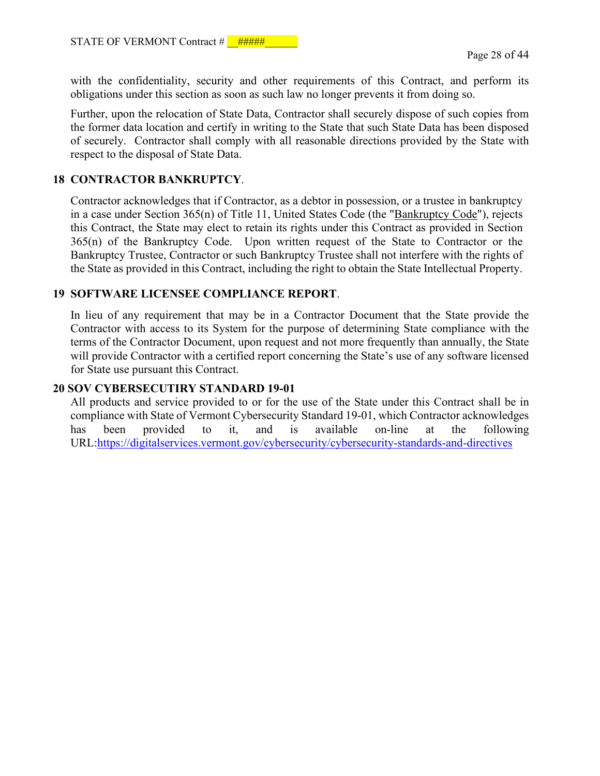with the confidentiality, security and other requirements of this Contract, and perform its obligations under this section as soon as such law no longer prevents it from doing so.

Further, upon the relocation of State Data, Contractor shall securely dispose of such copies from the former data location and certify in writing to the State that such State Data has been disposed of securely. Contractor shall comply with all reasonable directions provided by the State with respect to the disposal of State Data.

# **18 CONTRACTOR BANKRUPTCY**.

Contractor acknowledges that if Contractor, as a debtor in possession, or a trustee in bankruptcy in a case under Section 365(n) of Title 11, United States Code (the "Bankruptcy Code"), rejects this Contract, the State may elect to retain its rights under this Contract as provided in Section 365(n) of the Bankruptcy Code. Upon written request of the State to Contractor or the Bankruptcy Trustee, Contractor or such Bankruptcy Trustee shall not interfere with the rights of the State as provided in this Contract, including the right to obtain the State Intellectual Property.

#### **19 SOFTWARE LICENSEE COMPLIANCE REPORT**.

In lieu of any requirement that may be in a Contractor Document that the State provide the Contractor with access to its System for the purpose of determining State compliance with the terms of the Contractor Document, upon request and not more frequently than annually, the State will provide Contractor with a certified report concerning the State's use of any software licensed for State use pursuant this Contract.

### **20 SOV CYBERSECUTIRY STANDARD 19-01**

All products and service provided to or for the use of the State under this Contract shall be in compliance with State of Vermont Cybersecurity Standard 19-01, which Contractor acknowledges has been provided to it, and is available on-line at the following URL[:https://digitalservices.vermont.gov/cybersecurity/cybersecurity-standards-and-directives](https://digitalservices.vermont.gov/cybersecurity/cybersecurity-standards-and-directives)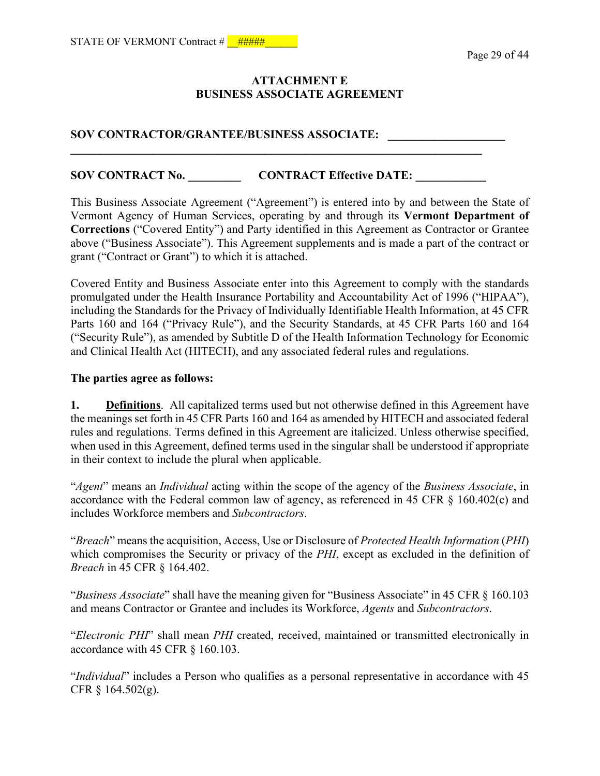## **ATTACHMENT E BUSINESS ASSOCIATE AGREEMENT**

## **SOV CONTRACTOR/GRANTEE/BUSINESS ASSOCIATE: \_\_\_\_\_\_\_\_\_\_\_\_\_\_\_\_\_\_\_\_**

# **SOV CONTRACT No. \_\_\_\_\_\_\_\_\_\_\_\_\_ CONTRACT Effective DATE:** \_\_\_\_\_\_\_\_\_\_\_\_\_\_

**\_\_\_\_\_\_\_\_\_\_\_\_\_\_\_\_\_\_\_\_\_\_\_\_\_\_\_\_\_\_\_\_\_\_\_\_\_\_\_\_\_\_\_\_\_\_\_\_\_\_\_\_\_\_\_\_\_\_\_\_\_\_\_\_\_\_\_\_\_\_** 

This Business Associate Agreement ("Agreement") is entered into by and between the State of Vermont Agency of Human Services, operating by and through its **Vermont Department of Corrections** ("Covered Entity") and Party identified in this Agreement as Contractor or Grantee above ("Business Associate"). This Agreement supplements and is made a part of the contract or grant ("Contract or Grant") to which it is attached.

Covered Entity and Business Associate enter into this Agreement to comply with the standards promulgated under the Health Insurance Portability and Accountability Act of 1996 ("HIPAA"), including the Standards for the Privacy of Individually Identifiable Health Information, at 45 CFR Parts 160 and 164 ("Privacy Rule"), and the Security Standards, at 45 CFR Parts 160 and 164 ("Security Rule"), as amended by Subtitle D of the Health Information Technology for Economic and Clinical Health Act (HITECH), and any associated federal rules and regulations.

#### **The parties agree as follows:**

**1. Definitions**. All capitalized terms used but not otherwise defined in this Agreement have the meanings set forth in 45 CFR Parts 160 and 164 as amended by HITECH and associated federal rules and regulations. Terms defined in this Agreement are italicized. Unless otherwise specified, when used in this Agreement, defined terms used in the singular shall be understood if appropriate in their context to include the plural when applicable.

"*Agent*" means an *Individual* acting within the scope of the agency of the *Business Associate*, in accordance with the Federal common law of agency, as referenced in 45 CFR § 160.402(c) and includes Workforce members and *Subcontractors*.

"*Breach*" means the acquisition, Access, Use or Disclosure of *Protected Health Information* (*PHI*) which compromises the Security or privacy of the *PHI*, except as excluded in the definition of *Breach* in 45 CFR § 164.402.

"*Business Associate*" shall have the meaning given for "Business Associate" in 45 CFR § 160.103 and means Contractor or Grantee and includes its Workforce, *Agents* and *Subcontractors*.

"*Electronic PHI*" shall mean *PHI* created, received, maintained or transmitted electronically in accordance with 45 CFR § 160.103.

"*Individual*" includes a Person who qualifies as a personal representative in accordance with 45 CFR § 164.502(g).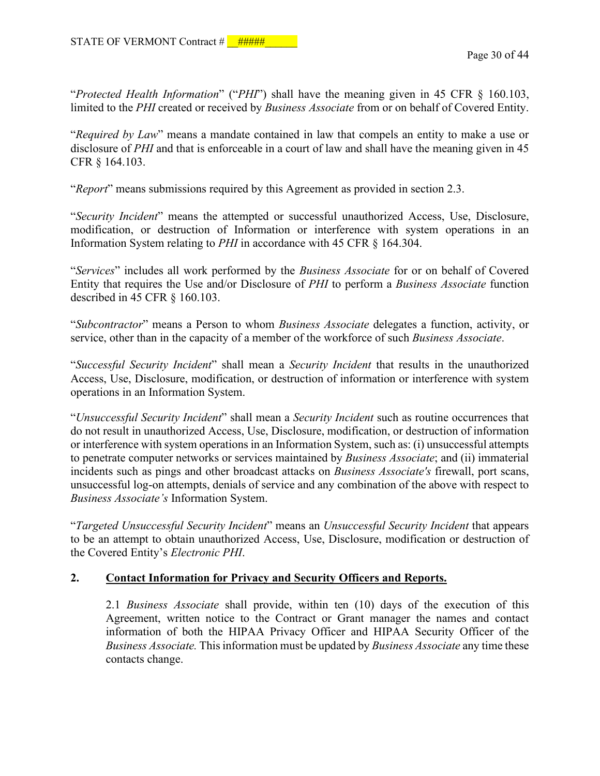"*Protected Health Information*" ("*PHI*") shall have the meaning given in 45 CFR § 160.103, limited to the *PHI* created or received by *Business Associate* from or on behalf of Covered Entity.

"*Required by Law*" means a mandate contained in law that compels an entity to make a use or disclosure of *PHI* and that is enforceable in a court of law and shall have the meaning given in 45 CFR § 164.103.

"*Report*" means submissions required by this Agreement as provided in section 2.3.

"*Security Incident*" means the attempted or successful unauthorized Access, Use, Disclosure, modification, or destruction of Information or interference with system operations in an Information System relating to *PHI* in accordance with 45 CFR § 164.304.

"*Services*" includes all work performed by the *Business Associate* for or on behalf of Covered Entity that requires the Use and/or Disclosure of *PHI* to perform a *Business Associate* function described in 45 CFR § 160.103.

"*Subcontractor*" means a Person to whom *Business Associate* delegates a function, activity, or service, other than in the capacity of a member of the workforce of such *Business Associate*.

"*Successful Security Incident*" shall mean a *Security Incident* that results in the unauthorized Access, Use, Disclosure, modification, or destruction of information or interference with system operations in an Information System.

"*Unsuccessful Security Incident*" shall mean a *Security Incident* such as routine occurrences that do not result in unauthorized Access, Use, Disclosure, modification, or destruction of information or interference with system operations in an Information System, such as: (i) unsuccessful attempts to penetrate computer networks or services maintained by *Business Associate*; and (ii) immaterial incidents such as pings and other broadcast attacks on *Business Associate's* firewall, port scans, unsuccessful log-on attempts, denials of service and any combination of the above with respect to *Business Associate's* Information System.

"*Targeted Unsuccessful Security Incident*" means an *Unsuccessful Security Incident* that appears to be an attempt to obtain unauthorized Access, Use, Disclosure, modification or destruction of the Covered Entity's *Electronic PHI*.

## **2. Contact Information for Privacy and Security Officers and Reports.**

2.1 *Business Associate* shall provide, within ten (10) days of the execution of this Agreement, written notice to the Contract or Grant manager the names and contact information of both the HIPAA Privacy Officer and HIPAA Security Officer of the *Business Associate.* This information must be updated by *Business Associate* any time these contacts change.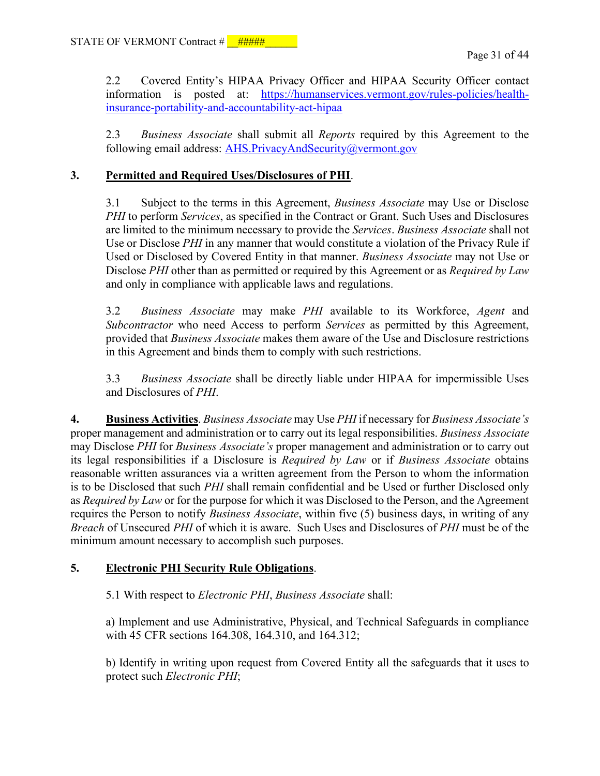2.2 Covered Entity's HIPAA Privacy Officer and HIPAA Security Officer contact information is posted at: [https://humanservices.vermont.gov/rules-policies/health](https://humanservices.vermont.gov/rules-policies/health-insurance-portability-and-accountability-act-hipaa)[insurance-portability-and-accountability-act-hipaa](https://humanservices.vermont.gov/rules-policies/health-insurance-portability-and-accountability-act-hipaa) 

2.3 *Business Associate* shall submit all *Reports* required by this Agreement to the following email address: [AHS.PrivacyAndSecurity@vermont.gov](mailto:)

# **3. Permitted and Required Uses/Disclosures of PHI**.

3.1 Subject to the terms in this Agreement, *Business Associate* may Use or Disclose *PHI* to perform *Services*, as specified in the Contract or Grant. Such Uses and Disclosures are limited to the minimum necessary to provide the *Services*. *Business Associate* shall not Use or Disclose *PHI* in any manner that would constitute a violation of the Privacy Rule if Used or Disclosed by Covered Entity in that manner. *Business Associate* may not Use or Disclose *PHI* other than as permitted or required by this Agreement or as *Required by Law* and only in compliance with applicable laws and regulations.

3.2 *Business Associate* may make *PHI* available to its Workforce, *Agent* and *Subcontractor* who need Access to perform *Services* as permitted by this Agreement, provided that *Business Associate* makes them aware of the Use and Disclosure restrictions in this Agreement and binds them to comply with such restrictions.

3.3 *Business Associate* shall be directly liable under HIPAA for impermissible Uses and Disclosures of *PHI*.

**4. Business Activities**. *Business Associate* may Use *PHI* if necessary for *Business Associate's* proper management and administration or to carry out its legal responsibilities. *Business Associate* may Disclose *PHI* for *Business Associate's* proper management and administration or to carry out its legal responsibilities if a Disclosure is *Required by Law* or if *Business Associate* obtains reasonable written assurances via a written agreement from the Person to whom the information is to be Disclosed that such *PHI* shall remain confidential and be Used or further Disclosed only as *Required by Law* or for the purpose for which it was Disclosed to the Person, and the Agreement requires the Person to notify *Business Associate*, within five (5) business days, in writing of any *Breach* of Unsecured *PHI* of which it is aware. Such Uses and Disclosures of *PHI* must be of the minimum amount necessary to accomplish such purposes.

## **5. Electronic PHI Security Rule Obligations**.

5.1 With respect to *Electronic PHI*, *Business Associate* shall:

a) Implement and use Administrative, Physical, and Technical Safeguards in compliance with 45 CFR sections 164.308, 164.310, and 164.312;

b) Identify in writing upon request from Covered Entity all the safeguards that it uses to protect such *Electronic PHI*;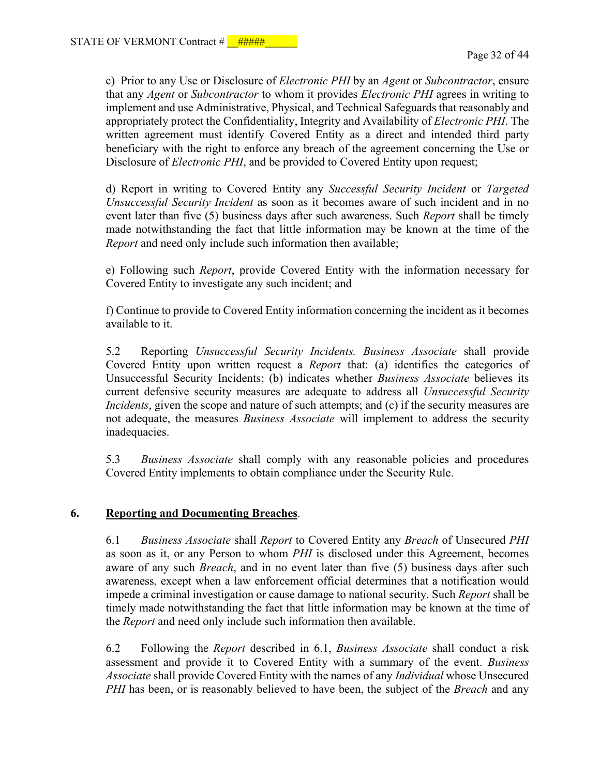c) Prior to any Use or Disclosure of *Electronic PHI* by an *Agent* or *Subcontractor*, ensure that any *Agent* or *Subcontractor* to whom it provides *Electronic PHI* agrees in writing to implement and use Administrative, Physical, and Technical Safeguards that reasonably and appropriately protect the Confidentiality, Integrity and Availability of *Electronic PHI*. The written agreement must identify Covered Entity as a direct and intended third party beneficiary with the right to enforce any breach of the agreement concerning the Use or Disclosure of *Electronic PHI*, and be provided to Covered Entity upon request;

d) Report in writing to Covered Entity any *Successful Security Incident* or *Targeted Unsuccessful Security Incident* as soon as it becomes aware of such incident and in no event later than five (5) business days after such awareness. Such *Report* shall be timely made notwithstanding the fact that little information may be known at the time of the *Report* and need only include such information then available;

e) Following such *Report*, provide Covered Entity with the information necessary for Covered Entity to investigate any such incident; and

f) Continue to provide to Covered Entity information concerning the incident as it becomes available to it.

5.2 Reporting *Unsuccessful Security Incidents. Business Associate* shall provide Covered Entity upon written request a *Report* that: (a) identifies the categories of Unsuccessful Security Incidents; (b) indicates whether *Business Associate* believes its current defensive security measures are adequate to address all *Unsuccessful Security Incidents*, given the scope and nature of such attempts; and (c) if the security measures are not adequate, the measures *Business Associate* will implement to address the security inadequacies.

5.3 *Business Associate* shall comply with any reasonable policies and procedures Covered Entity implements to obtain compliance under the Security Rule.

## **6. Reporting and Documenting Breaches**.

6.1 *Business Associate* shall *Report* to Covered Entity any *Breach* of Unsecured *PHI* as soon as it, or any Person to whom *PHI* is disclosed under this Agreement, becomes aware of any such *Breach*, and in no event later than five (5) business days after such awareness, except when a law enforcement official determines that a notification would impede a criminal investigation or cause damage to national security. Such *Report* shall be timely made notwithstanding the fact that little information may be known at the time of the *Report* and need only include such information then available.

6.2 Following the *Report* described in 6.1, *Business Associate* shall conduct a risk assessment and provide it to Covered Entity with a summary of the event. *Business Associate* shall provide Covered Entity with the names of any *Individual* whose Unsecured *PHI* has been, or is reasonably believed to have been, the subject of the *Breach* and any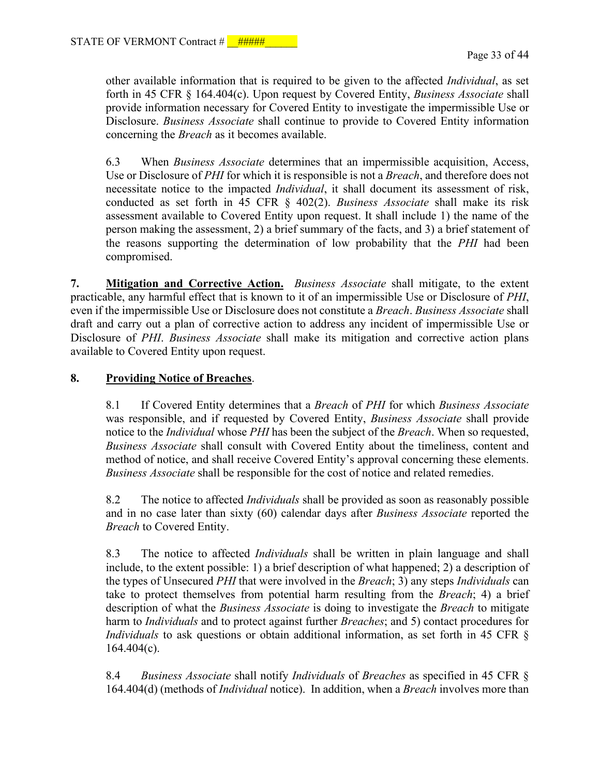other available information that is required to be given to the affected *Individual*, as set forth in 45 CFR § 164.404(c). Upon request by Covered Entity, *Business Associate* shall provide information necessary for Covered Entity to investigate the impermissible Use or Disclosure. *Business Associate* shall continue to provide to Covered Entity information concerning the *Breach* as it becomes available.

6.3 When *Business Associate* determines that an impermissible acquisition, Access, Use or Disclosure of *PHI* for which it is responsible is not a *Breach*, and therefore does not necessitate notice to the impacted *Individual*, it shall document its assessment of risk, conducted as set forth in 45 CFR § 402(2). *Business Associate* shall make its risk assessment available to Covered Entity upon request. It shall include 1) the name of the person making the assessment, 2) a brief summary of the facts, and 3) a brief statement of the reasons supporting the determination of low probability that the *PHI* had been compromised.

**7. Mitigation and Corrective Action.** *Business Associate* shall mitigate, to the extent practicable, any harmful effect that is known to it of an impermissible Use or Disclosure of *PHI*, even if the impermissible Use or Disclosure does not constitute a *Breach*. *Business Associate* shall draft and carry out a plan of corrective action to address any incident of impermissible Use or Disclosure of *PHI*. *Business Associate* shall make its mitigation and corrective action plans available to Covered Entity upon request.

# **8. Providing Notice of Breaches**.

8.1 If Covered Entity determines that a *Breach* of *PHI* for which *Business Associate* was responsible, and if requested by Covered Entity, *Business Associate* shall provide notice to the *Individual* whose *PHI* has been the subject of the *Breach*. When so requested, *Business Associate* shall consult with Covered Entity about the timeliness, content and method of notice, and shall receive Covered Entity's approval concerning these elements. *Business Associate* shall be responsible for the cost of notice and related remedies.

8.2 The notice to affected *Individuals* shall be provided as soon as reasonably possible and in no case later than sixty (60) calendar days after *Business Associate* reported the *Breach* to Covered Entity.

8.3 The notice to affected *Individuals* shall be written in plain language and shall include, to the extent possible: 1) a brief description of what happened; 2) a description of the types of Unsecured *PHI* that were involved in the *Breach*; 3) any steps *Individuals* can take to protect themselves from potential harm resulting from the *Breach*; 4) a brief description of what the *Business Associate* is doing to investigate the *Breach* to mitigate harm to *Individuals* and to protect against further *Breaches*; and 5) contact procedures for *Individuals* to ask questions or obtain additional information, as set forth in 45 CFR § 164.404(c).

8.4 *Business Associate* shall notify *Individuals* of *Breaches* as specified in 45 CFR § 164.404(d) (methods of *Individual* notice). In addition, when a *Breach* involves more than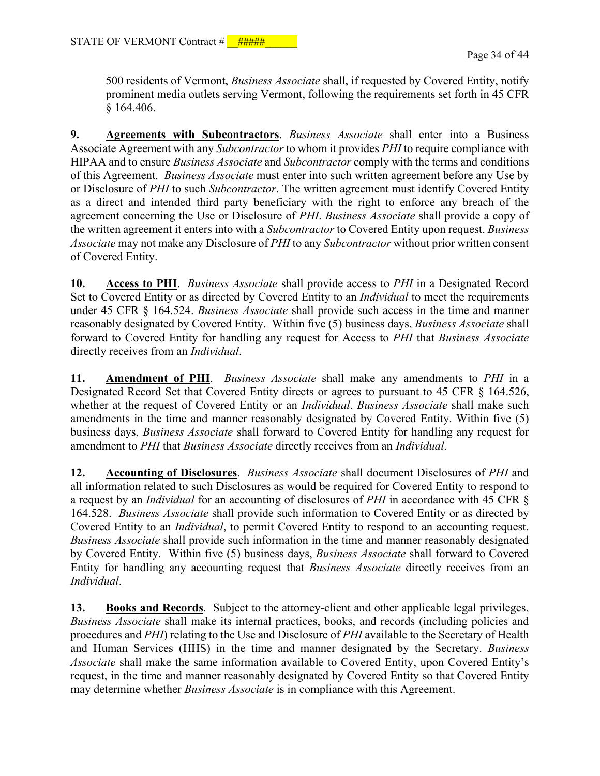500 residents of Vermont, *Business Associate* shall, if requested by Covered Entity, notify prominent media outlets serving Vermont, following the requirements set forth in 45 CFR § 164.406.

**9. Agreements with Subcontractors**. *Business Associate* shall enter into a Business Associate Agreement with any *Subcontractor* to whom it provides *PHI* to require compliance with HIPAA and to ensure *Business Associate* and *Subcontractor* comply with the terms and conditions of this Agreement. *Business Associate* must enter into such written agreement before any Use by or Disclosure of *PHI* to such *Subcontractor*. The written agreement must identify Covered Entity as a direct and intended third party beneficiary with the right to enforce any breach of the agreement concerning the Use or Disclosure of *PHI*. *Business Associate* shall provide a copy of the written agreement it enters into with a *Subcontractor* to Covered Entity upon request. *Business Associate* may not make any Disclosure of *PHI* to any *Subcontractor* without prior written consent of Covered Entity.

**10. Access to PHI**. *Business Associate* shall provide access to *PHI* in a Designated Record Set to Covered Entity or as directed by Covered Entity to an *Individual* to meet the requirements under 45 CFR § 164.524. *Business Associate* shall provide such access in the time and manner reasonably designated by Covered Entity. Within five (5) business days, *Business Associate* shall forward to Covered Entity for handling any request for Access to *PHI* that *Business Associate* directly receives from an *Individual*.

**11. Amendment of PHI**. *Business Associate* shall make any amendments to *PHI* in a Designated Record Set that Covered Entity directs or agrees to pursuant to 45 CFR § 164.526, whether at the request of Covered Entity or an *Individual*. *Business Associate* shall make such amendments in the time and manner reasonably designated by Covered Entity. Within five (5) business days, *Business Associate* shall forward to Covered Entity for handling any request for amendment to *PHI* that *Business Associate* directly receives from an *Individual*.

**12. Accounting of Disclosures**. *Business Associate* shall document Disclosures of *PHI* and all information related to such Disclosures as would be required for Covered Entity to respond to a request by an *Individual* for an accounting of disclosures of *PHI* in accordance with 45 CFR § 164.528. *Business Associate* shall provide such information to Covered Entity or as directed by Covered Entity to an *Individual*, to permit Covered Entity to respond to an accounting request. *Business Associate* shall provide such information in the time and manner reasonably designated by Covered Entity. Within five (5) business days, *Business Associate* shall forward to Covered Entity for handling any accounting request that *Business Associate* directly receives from an *Individual*.

**13. Books and Records**. Subject to the attorney-client and other applicable legal privileges, *Business Associate* shall make its internal practices, books, and records (including policies and procedures and *PHI*) relating to the Use and Disclosure of *PHI* available to the Secretary of Health and Human Services (HHS) in the time and manner designated by the Secretary. *Business Associate* shall make the same information available to Covered Entity, upon Covered Entity's request, in the time and manner reasonably designated by Covered Entity so that Covered Entity may determine whether *Business Associate* is in compliance with this Agreement.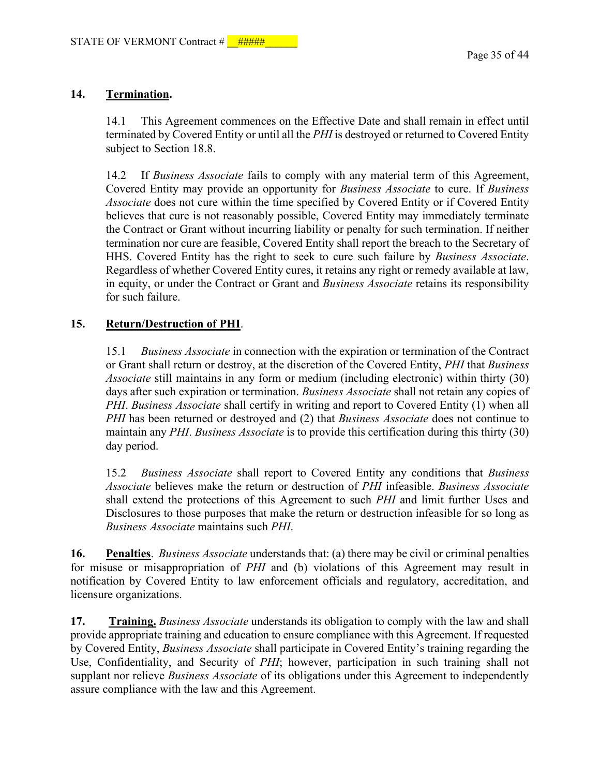# **14. Termination.**

14.1 This Agreement commences on the Effective Date and shall remain in effect until terminated by Covered Entity or until all the *PHI* is destroyed or returned to Covered Entity subject to Section 18.8.

14.2 If *Business Associate* fails to comply with any material term of this Agreement, Covered Entity may provide an opportunity for *Business Associate* to cure. If *Business Associate* does not cure within the time specified by Covered Entity or if Covered Entity believes that cure is not reasonably possible, Covered Entity may immediately terminate the Contract or Grant without incurring liability or penalty for such termination. If neither termination nor cure are feasible, Covered Entity shall report the breach to the Secretary of HHS. Covered Entity has the right to seek to cure such failure by *Business Associate*. Regardless of whether Covered Entity cures, it retains any right or remedy available at law, in equity, or under the Contract or Grant and *Business Associate* retains its responsibility for such failure.

## **15. Return/Destruction of PHI**.

15.1 *Business Associate* in connection with the expiration or termination of the Contract or Grant shall return or destroy, at the discretion of the Covered Entity, *PHI* that *Business Associate* still maintains in any form or medium (including electronic) within thirty (30) days after such expiration or termination. *Business Associate* shall not retain any copies of *PHI*. *Business Associate* shall certify in writing and report to Covered Entity (1) when all *PHI* has been returned or destroyed and (2) that *Business Associate* does not continue to maintain any *PHI*. *Business Associate* is to provide this certification during this thirty (30) day period.

15.2 *Business Associate* shall report to Covered Entity any conditions that *Business Associate* believes make the return or destruction of *PHI* infeasible. *Business Associate* shall extend the protections of this Agreement to such *PHI* and limit further Uses and Disclosures to those purposes that make the return or destruction infeasible for so long as *Business Associate* maintains such *PHI*.

**16. Penalties**. *Business Associate* understands that: (a) there may be civil or criminal penalties for misuse or misappropriation of *PHI* and (b) violations of this Agreement may result in notification by Covered Entity to law enforcement officials and regulatory, accreditation, and licensure organizations.

**17. Training.** *Business Associate* understands its obligation to comply with the law and shall provide appropriate training and education to ensure compliance with this Agreement. If requested by Covered Entity, *Business Associate* shall participate in Covered Entity's training regarding the Use, Confidentiality, and Security of *PHI*; however, participation in such training shall not supplant nor relieve *Business Associate* of its obligations under this Agreement to independently assure compliance with the law and this Agreement.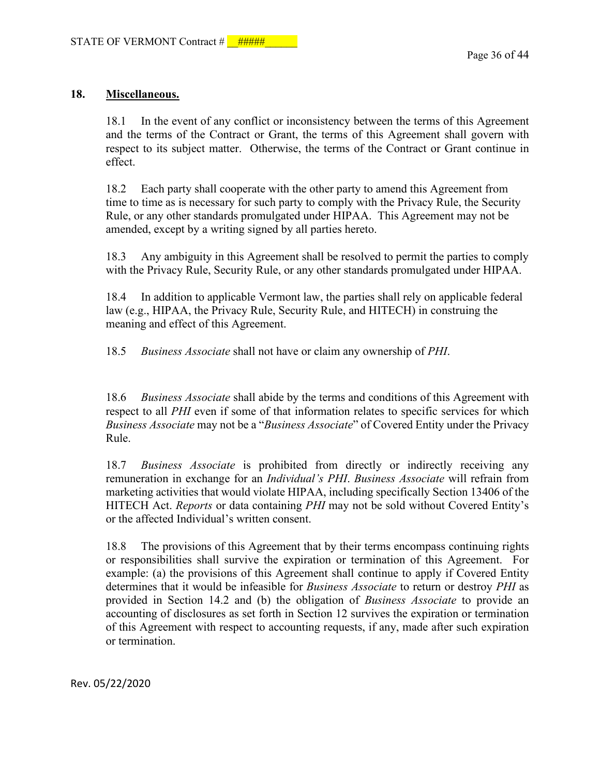### **18. Miscellaneous.**

18.1 In the event of any conflict or inconsistency between the terms of this Agreement and the terms of the Contract or Grant, the terms of this Agreement shall govern with respect to its subject matter. Otherwise, the terms of the Contract or Grant continue in effect.

18.2 Each party shall cooperate with the other party to amend this Agreement from time to time as is necessary for such party to comply with the Privacy Rule, the Security Rule, or any other standards promulgated under HIPAA. This Agreement may not be amended, except by a writing signed by all parties hereto.

18.3 Any ambiguity in this Agreement shall be resolved to permit the parties to comply with the Privacy Rule, Security Rule, or any other standards promulgated under HIPAA.

18.4 In addition to applicable Vermont law, the parties shall rely on applicable federal law (e.g., HIPAA, the Privacy Rule, Security Rule, and HITECH) in construing the meaning and effect of this Agreement.

18.5 *Business Associate* shall not have or claim any ownership of *PHI*.

18.6 *Business Associate* shall abide by the terms and conditions of this Agreement with respect to all *PHI* even if some of that information relates to specific services for which *Business Associate* may not be a "*Business Associate*" of Covered Entity under the Privacy Rule.

18.7 *Business Associate* is prohibited from directly or indirectly receiving any remuneration in exchange for an *Individual's PHI*. *Business Associate* will refrain from marketing activities that would violate HIPAA, including specifically Section 13406 of the HITECH Act. *Reports* or data containing *PHI* may not be sold without Covered Entity's or the affected Individual's written consent.

18.8 The provisions of this Agreement that by their terms encompass continuing rights or responsibilities shall survive the expiration or termination of this Agreement. For example: (a) the provisions of this Agreement shall continue to apply if Covered Entity determines that it would be infeasible for *Business Associate* to return or destroy *PHI* as provided in Section 14.2 and (b) the obligation of *Business Associate* to provide an accounting of disclosures as set forth in Section 12 survives the expiration or termination of this Agreement with respect to accounting requests, if any, made after such expiration or termination.

Rev. 05/22/2020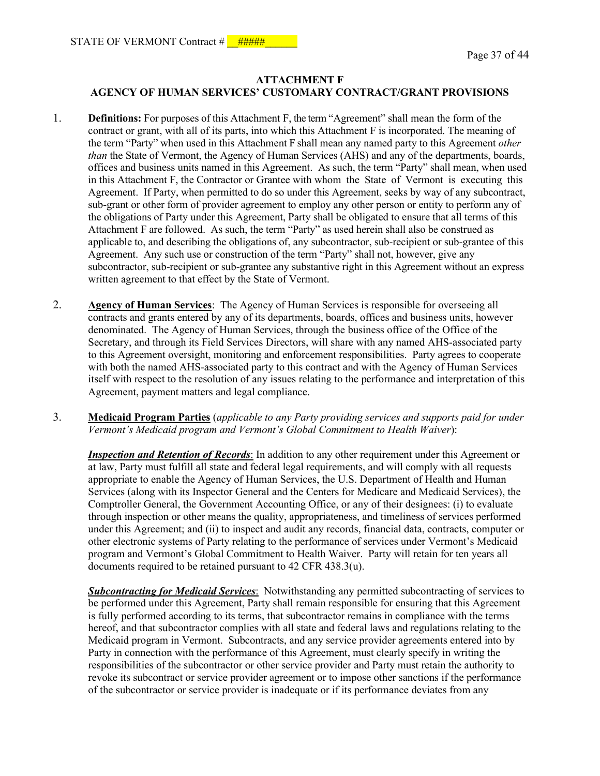### **ATTACHMENT F AGENCY OF HUMAN SERVICES' CUSTOMARY CONTRACT/GRANT PROVISIONS**

- 1. **Definitions:** For purposes of this Attachment F, the term "Agreement" shall mean the form of the contract or grant, with all of its parts, into which this Attachment F is incorporated. The meaning of the term "Party" when used in this Attachment F shall mean any named party to this Agreement *other than* the State of Vermont, the Agency of Human Services (AHS) and any of the departments, boards, offices and business units named in this Agreement. As such, the term "Party" shall mean, when used in this Attachment F, the Contractor or Grantee with whom the State of Vermont is executing this Agreement. If Party, when permitted to do so under this Agreement, seeks by way of any subcontract, sub-grant or other form of provider agreement to employ any other person or entity to perform any of the obligations of Party under this Agreement, Party shall be obligated to ensure that all terms of this Attachment F are followed. As such, the term "Party" as used herein shall also be construed as applicable to, and describing the obligations of, any subcontractor, sub-recipient or sub-grantee of this Agreement. Any such use or construction of the term "Party" shall not, however, give any subcontractor, sub-recipient or sub-grantee any substantive right in this Agreement without an express written agreement to that effect by the State of Vermont.
- 2. **Agency of Human Services**: The Agency of Human Services is responsible for overseeing all contracts and grants entered by any of its departments, boards, offices and business units, however denominated. The Agency of Human Services, through the business office of the Office of the Secretary, and through its Field Services Directors, will share with any named AHS-associated party to this Agreement oversight, monitoring and enforcement responsibilities. Party agrees to cooperate with both the named AHS-associated party to this contract and with the Agency of Human Services itself with respect to the resolution of any issues relating to the performance and interpretation of this Agreement, payment matters and legal compliance.
- 3. **Medicaid Program Parties** (*applicable to any Party providing services and supports paid for under Vermont's Medicaid program and Vermont's Global Commitment to Health Waiver*):

*Inspection and Retention of Records*: In addition to any other requirement under this Agreement or at law, Party must fulfill all state and federal legal requirements, and will comply with all requests appropriate to enable the Agency of Human Services, the U.S. Department of Health and Human Services (along with its Inspector General and the Centers for Medicare and Medicaid Services), the Comptroller General, the Government Accounting Office, or any of their designees: (i) to evaluate through inspection or other means the quality, appropriateness, and timeliness of services performed under this Agreement; and (ii) to inspect and audit any records, financial data, contracts, computer or other electronic systems of Party relating to the performance of services under Vermont's Medicaid program and Vermont's Global Commitment to Health Waiver. Party will retain for ten years all documents required to be retained pursuant to 42 CFR 438.3(u).

*Subcontracting for Medicaid Services*: Notwithstanding any permitted subcontracting of services to be performed under this Agreement, Party shall remain responsible for ensuring that this Agreement is fully performed according to its terms, that subcontractor remains in compliance with the terms hereof, and that subcontractor complies with all state and federal laws and regulations relating to the Medicaid program in Vermont. Subcontracts, and any service provider agreements entered into by Party in connection with the performance of this Agreement, must clearly specify in writing the responsibilities of the subcontractor or other service provider and Party must retain the authority to revoke its subcontract or service provider agreement or to impose other sanctions if the performance of the subcontractor or service provider is inadequate or if its performance deviates from any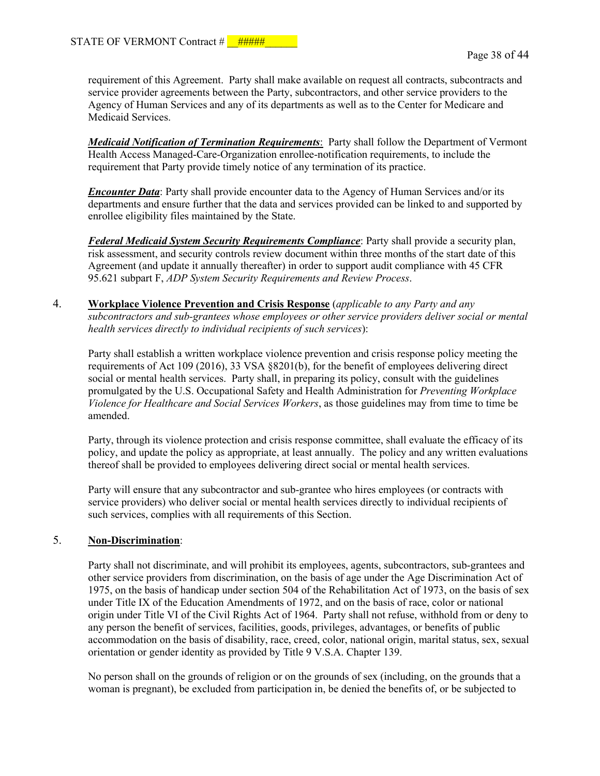requirement of this Agreement. Party shall make available on request all contracts, subcontracts and service provider agreements between the Party, subcontractors, and other service providers to the Agency of Human Services and any of its departments as well as to the Center for Medicare and Medicaid Services.

*Medicaid Notification of Termination Requirements*: Party shall follow the Department of Vermont Health Access Managed-Care-Organization enrollee-notification requirements, to include the requirement that Party provide timely notice of any termination of its practice.

*Encounter Data:* Party shall provide encounter data to the Agency of Human Services and/or its departments and ensure further that the data and services provided can be linked to and supported by enrollee eligibility files maintained by the State.

*Federal Medicaid System Security Requirements Compliance*: Party shall provide a security plan, risk assessment, and security controls review document within three months of the start date of this Agreement (and update it annually thereafter) in order to support audit compliance with 45 CFR 95.621 subpart F, *ADP System Security Requirements and Review Process*.

4. **Workplace Violence Prevention and Crisis Response** (*applicable to any Party and any subcontractors and sub-grantees whose employees or other service providers deliver social or mental health services directly to individual recipients of such services*):

Party shall establish a written workplace violence prevention and crisis response policy meeting the requirements of Act 109 (2016), 33 VSA §8201(b), for the benefit of employees delivering direct social or mental health services. Party shall, in preparing its policy, consult with the guidelines promulgated by the U.S. Occupational Safety and Health Administration for *Preventing Workplace Violence for Healthcare and Social Services Workers*, as those guidelines may from time to time be amended.

Party, through its violence protection and crisis response committee, shall evaluate the efficacy of its policy, and update the policy as appropriate, at least annually. The policy and any written evaluations thereof shall be provided to employees delivering direct social or mental health services.

Party will ensure that any subcontractor and sub-grantee who hires employees (or contracts with service providers) who deliver social or mental health services directly to individual recipients of such services, complies with all requirements of this Section.

#### 5. **Non-Discrimination**:

Party shall not discriminate, and will prohibit its employees, agents, subcontractors, sub-grantees and other service providers from discrimination, on the basis of age under the Age Discrimination Act of 1975, on the basis of handicap under section 504 of the Rehabilitation Act of 1973, on the basis of sex under Title IX of the Education Amendments of 1972, and on the basis of race, color or national origin under Title VI of the Civil Rights Act of 1964. Party shall not refuse, withhold from or deny to any person the benefit of services, facilities, goods, privileges, advantages, or benefits of public accommodation on the basis of disability, race, creed, color, national origin, marital status, sex, sexual orientation or gender identity as provided by Title 9 V.S.A. Chapter 139.

No person shall on the grounds of religion or on the grounds of sex (including, on the grounds that a woman is pregnant), be excluded from participation in, be denied the benefits of, or be subjected to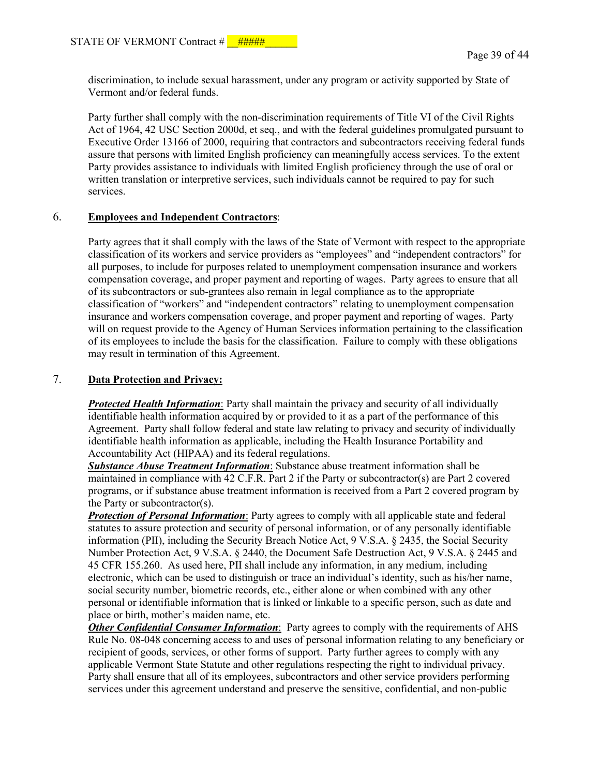discrimination, to include sexual harassment, under any program or activity supported by State of Vermont and/or federal funds.

Party further shall comply with the non-discrimination requirements of Title VI of the Civil Rights Act of 1964, 42 USC Section 2000d, et seq., and with the federal guidelines promulgated pursuant to Executive Order 13166 of 2000, requiring that contractors and subcontractors receiving federal funds assure that persons with limited English proficiency can meaningfully access services. To the extent Party provides assistance to individuals with limited English proficiency through the use of oral or written translation or interpretive services, such individuals cannot be required to pay for such services.

#### 6. **Employees and Independent Contractors**:

Party agrees that it shall comply with the laws of the State of Vermont with respect to the appropriate classification of its workers and service providers as "employees" and "independent contractors" for all purposes, to include for purposes related to unemployment compensation insurance and workers compensation coverage, and proper payment and reporting of wages. Party agrees to ensure that all of its subcontractors or sub-grantees also remain in legal compliance as to the appropriate classification of "workers" and "independent contractors" relating to unemployment compensation insurance and workers compensation coverage, and proper payment and reporting of wages. Party will on request provide to the Agency of Human Services information pertaining to the classification of its employees to include the basis for the classification. Failure to comply with these obligations may result in termination of this Agreement.

# 7. **Data Protection and Privacy:**

*Protected Health Information*: Party shall maintain the privacy and security of all individually identifiable health information acquired by or provided to it as a part of the performance of this Agreement. Party shall follow federal and state law relating to privacy and security of individually identifiable health information as applicable, including the Health Insurance Portability and Accountability Act (HIPAA) and its federal regulations.

*Substance Abuse Treatment Information*: Substance abuse treatment information shall be maintained in compliance with 42 C.F.R. Part 2 if the Party or subcontractor(s) are Part 2 covered programs, or if substance abuse treatment information is received from a Part 2 covered program by the Party or subcontractor(s).

*Protection of Personal Information*: Party agrees to comply with all applicable state and federal statutes to assure protection and security of personal information, or of any personally identifiable information (PII), including the Security Breach Notice Act, 9 V.S.A. § 2435, the Social Security Number Protection Act, 9 V.S.A. § 2440, the Document Safe Destruction Act, 9 V.S.A. § 2445 and 45 CFR 155.260. As used here, PII shall include any information, in any medium, including electronic, which can be used to distinguish or trace an individual's identity, such as his/her name, social security number, biometric records, etc., either alone or when combined with any other personal or identifiable information that is linked or linkable to a specific person, such as date and place or birth, mother's maiden name, etc.

*Other Confidential Consumer Information*: Party agrees to comply with the requirements of AHS Rule No. 08-048 concerning access to and uses of personal information relating to any beneficiary or recipient of goods, services, or other forms of support. Party further agrees to comply with any applicable Vermont State Statute and other regulations respecting the right to individual privacy. Party shall ensure that all of its employees, subcontractors and other service providers performing services under this agreement understand and preserve the sensitive, confidential, and non-public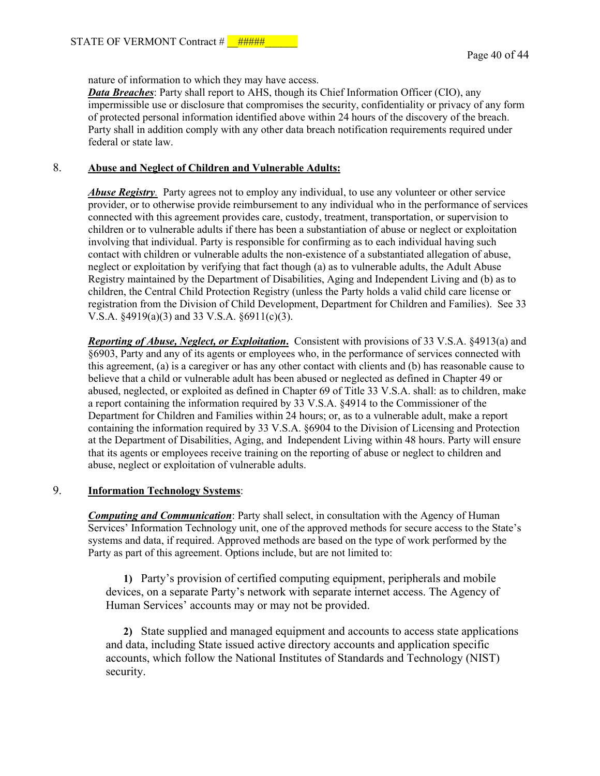nature of information to which they may have access.

*Data Breaches*: Party shall report to AHS, though its Chief Information Officer (CIO), any impermissible use or disclosure that compromises the security, confidentiality or privacy of any form of protected personal information identified above within 24 hours of the discovery of the breach. Party shall in addition comply with any other data breach notification requirements required under federal or state law.

### 8. **Abuse and Neglect of Children and Vulnerable Adults:**

*Abuse Registry.* Party agrees not to employ any individual, to use any volunteer or other service provider, or to otherwise provide reimbursement to any individual who in the performance of services connected with this agreement provides care, custody, treatment, transportation, or supervision to children or to vulnerable adults if there has been a substantiation of abuse or neglect or exploitation involving that individual. Party is responsible for confirming as to each individual having such contact with children or vulnerable adults the non-existence of a substantiated allegation of abuse, neglect or exploitation by verifying that fact though (a) as to vulnerable adults, the Adult Abuse Registry maintained by the Department of Disabilities, Aging and Independent Living and (b) as to children, the Central Child Protection Registry (unless the Party holds a valid child care license or registration from the Division of Child Development, Department for Children and Families). See 33 V.S.A. §4919(a)(3) and 33 V.S.A. §6911(c)(3).

*Reporting of Abuse, Neglect, or Exploitation***.** Consistent with provisions of 33 V.S.A. §4913(a) and §6903, Party and any of its agents or employees who, in the performance of services connected with this agreement, (a) is a caregiver or has any other contact with clients and (b) has reasonable cause to believe that a child or vulnerable adult has been abused or neglected as defined in Chapter 49 or abused, neglected, or exploited as defined in Chapter 69 of Title 33 V.S.A. shall: as to children, make a report containing the information required by 33 V.S.A. §4914 to the Commissioner of the Department for Children and Families within 24 hours; or, as to a vulnerable adult, make a report containing the information required by 33 V.S.A. §6904 to the Division of Licensing and Protection at the Department of Disabilities, Aging, and Independent Living within 48 hours. Party will ensure that its agents or employees receive training on the reporting of abuse or neglect to children and abuse, neglect or exploitation of vulnerable adults.

#### 9. **Information Technology Systems**:

*Computing and Communication*: Party shall select, in consultation with the Agency of Human Services' Information Technology unit, one of the approved methods for secure access to the State's systems and data, if required. Approved methods are based on the type of work performed by the Party as part of this agreement. Options include, but are not limited to:

**1)** Party's provision of certified computing equipment, peripherals and mobile devices, on a separate Party's network with separate internet access. The Agency of Human Services' accounts may or may not be provided.

**2)** State supplied and managed equipment and accounts to access state applications and data, including State issued active directory accounts and application specific accounts, which follow the National Institutes of Standards and Technology (NIST) security.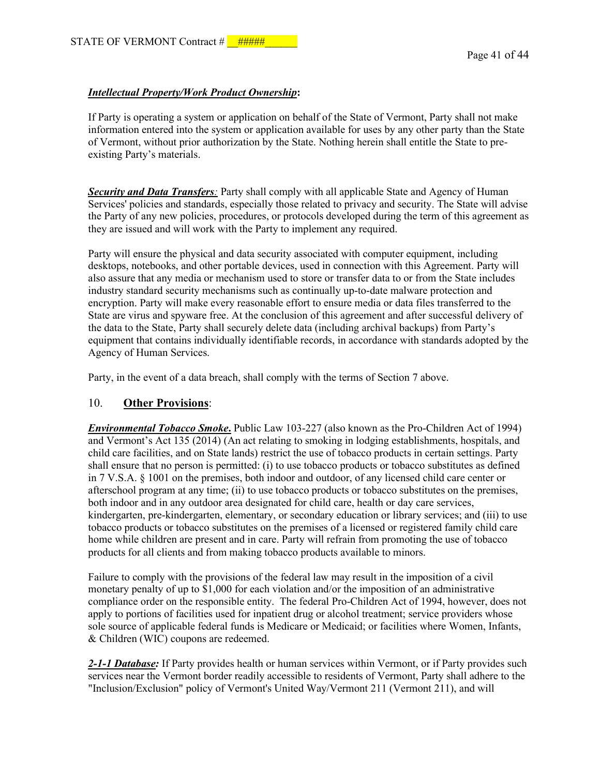#### *Intellectual Property/Work Product Ownership***:**

 If Party is operating a system or application on behalf of the State of Vermont, Party shall not make information entered into the system or application available for uses by any other party than the State of Vermont, without prior authorization by the State. Nothing herein shall entitle the State to preexisting Party's materials.

*Security and Data Transfers:* Party shall comply with all applicable State and Agency of Human Services' policies and standards, especially those related to privacy and security. The State will advise the Party of any new policies, procedures, or protocols developed during the term of this agreement as they are issued and will work with the Party to implement any required.

Party will ensure the physical and data security associated with computer equipment, including desktops, notebooks, and other portable devices, used in connection with this Agreement. Party will also assure that any media or mechanism used to store or transfer data to or from the State includes industry standard security mechanisms such as continually up-to-date malware protection and encryption. Party will make every reasonable effort to ensure media or data files transferred to the State are virus and spyware free. At the conclusion of this agreement and after successful delivery of the data to the State, Party shall securely delete data (including archival backups) from Party's equipment that contains individually identifiable records, in accordance with standards adopted by the Agency of Human Services.

Party, in the event of a data breach, shall comply with the terms of Section 7 above.

#### 10. **Other Provisions**:

*Environmental Tobacco Smoke***.** Public Law 103-227 (also known as the Pro-Children Act of 1994) and Vermont's Act 135 (2014) (An act relating to smoking in lodging establishments, hospitals, and child care facilities, and on State lands) restrict the use of tobacco products in certain settings. Party shall ensure that no person is permitted: (i) to use tobacco products or tobacco substitutes as defined in 7 V.S.A. § 1001 on the premises, both indoor and outdoor, of any licensed child care center or afterschool program at any time; (ii) to use tobacco products or tobacco substitutes on the premises, both indoor and in any outdoor area designated for child care, health or day care services, kindergarten, pre-kindergarten, elementary, or secondary education or library services; and (iii) to use tobacco products or tobacco substitutes on the premises of a licensed or registered family child care home while children are present and in care. Party will refrain from promoting the use of tobacco products for all clients and from making tobacco products available to minors.

Failure to comply with the provisions of the federal law may result in the imposition of a civil monetary penalty of up to \$1,000 for each violation and/or the imposition of an administrative compliance order on the responsible entity. The federal Pro-Children Act of 1994, however, does not apply to portions of facilities used for inpatient drug or alcohol treatment; service providers whose sole source of applicable federal funds is Medicare or Medicaid; or facilities where Women, Infants, & Children (WIC) coupons are redeemed.

*2-1-1 Database:* If Party provides health or human services within Vermont, or if Party provides such services near the Vermont border readily accessible to residents of Vermont, Party shall adhere to the "Inclusion/Exclusion" policy of Vermont's United Way/Vermont 211 (Vermont 211), and will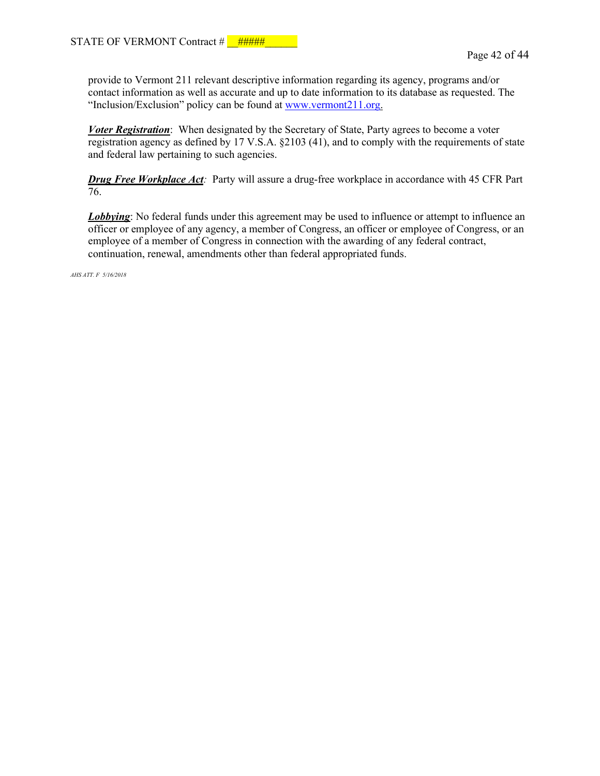provide to Vermont 211 relevant descriptive information regarding its agency, programs and/or contact information as well as accurate and up to date information to its database as requested. The "Inclusion/Exclusion" policy can be found at [www.vermont211.org.](http://www.vermont211.org/)

*Voter Registration*: When designated by the Secretary of State, Party agrees to become a voter registration agency as defined by 17 V.S.A. §2103 (41), and to comply with the requirements of state and federal law pertaining to such agencies.

*Drug Free Workplace Act:* Party will assure a drug-free workplace in accordance with 45 CFR Part 76.

*Lobbying*: No federal funds under this agreement may be used to influence or attempt to influence an officer or employee of any agency, a member of Congress, an officer or employee of Congress, or an employee of a member of Congress in connection with the awarding of any federal contract, continuation, renewal, amendments other than federal appropriated funds.

*AHS ATT. F 5/16/2018*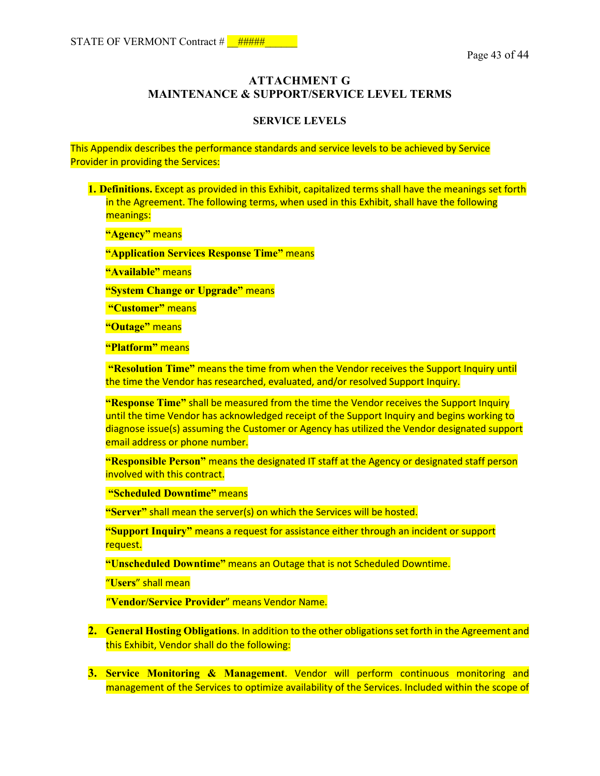# **ATTACHMENT G MAINTENANCE & SUPPORT/SERVICE LEVEL TERMS**

#### **SERVICE LEVELS**

This Appendix describes the performance standards and service levels to be achieved by Service Provider in providing the Services:

**1. Definitions.** Except as provided in this Exhibit, capitalized terms shall have the meanings set forth in the Agreement. The following terms, when used in this Exhibit, shall have the following meanings:

**"Agency"** means

**"Application Services Response Time"** means

**"Available"** means

**"System Change or Upgrade"** means

**"Customer"** means

**"Outage"** means

**"Platform"** means

 **"Resolution Time"** means the time from when the Vendor receives the Support Inquiry until the time the Vendor has researched, evaluated, and/or resolved Support Inquiry.

**"Response Time"** shall be measured from the time the Vendor receives the Support Inquiry until the time Vendor has acknowledged receipt of the Support Inquiry and begins working to diagnose issue(s) assuming the Customer or Agency has utilized the Vendor designated support email address or phone number.

**"Responsible Person"** means the designated IT staff at the Agency or designated staff person involved with this contract.

**"Scheduled Downtime"** means

**"Server"** shall mean the server(s) on which the Services will be hosted.

**"Support Inquiry"** means a request for assistance either through an incident or support request.

**"Unscheduled Downtime"** means an Outage that is not Scheduled Downtime.

"**Users**" shall mean

"**Vendor/Service Provider**" means Vendor Name.

- **2. General Hosting Obligations**. In addition to the other obligations set forth in the Agreement and this Exhibit, Vendor shall do the following:
- **3. Service Monitoring & Management**. Vendor will perform continuous monitoring and management of the Services to optimize availability of the Services. Included within the scope of